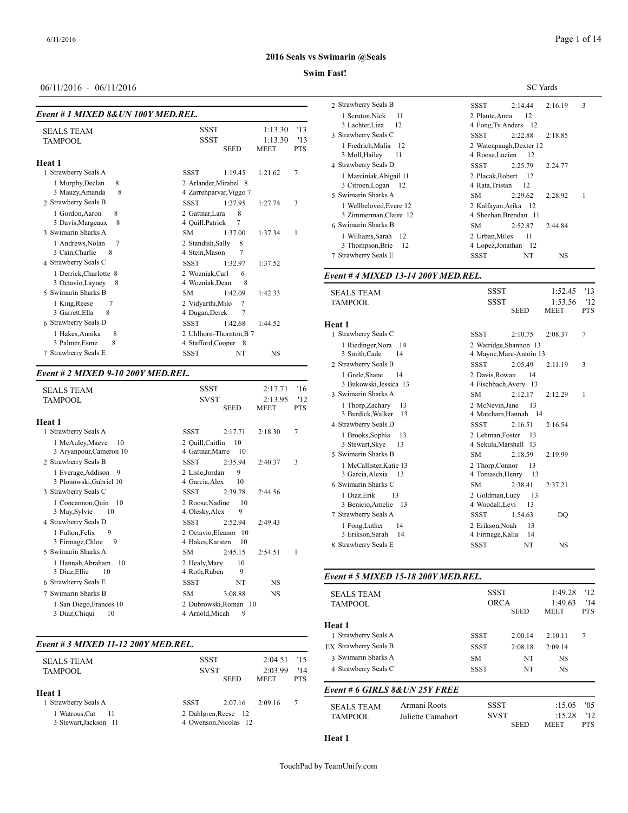#### **Swim Fast!**

## 06/11/2016 - 06/11/2016

|                                                                                                            |                                                                                                                       | 2 Strawberry Seal:                                                                            |  |  |  |
|------------------------------------------------------------------------------------------------------------|-----------------------------------------------------------------------------------------------------------------------|-----------------------------------------------------------------------------------------------|--|--|--|
| Event # 1 MIXED 8& UN 100Y MED.REL.<br><b>SEALS TEAM</b><br>TAMPOOL                                        | 1:13.30<br><b>SSST</b><br>'13<br>1:13.30<br>'13<br><b>SSST</b><br><b>MEET</b><br><b>PTS</b><br><b>SEED</b>            | 1 Scruton, Nick<br>3 Lachter, Liza<br>3 Strawberry Seal:<br>1 Fredrich, Mal<br>3 Moll, Hailey |  |  |  |
| Heat 1<br>1 Strawberry Seals A<br>1 Murphy, Declan<br>8                                                    | 7<br><b>SSST</b><br>1:21.62<br>1:19.45<br>2 Arlander, Mirabel 8                                                       | 4 Strawberry Seal:<br>1 Marciniak, Al<br>3 Citroen, Loga                                      |  |  |  |
| 8<br>3 Mauzy, Amanda<br>2 Strawberry Seals B                                                               | 4 Zarrehparvar, Viggo 7<br><b>SSST</b><br>1:27.95<br>3<br>1:27.74                                                     | 5 Swimarin Shark<br>1 Wellbeloved.                                                            |  |  |  |
| 8<br>1 Gordon, Aaron<br>3 Davis, Margeaux<br>8                                                             | 2 Gattnar, Lara<br>8<br>4 Ouill, Patrick<br>7                                                                         | 3 Zimmerman,<br>6 Swimarin Shark                                                              |  |  |  |
| 3 Swimarin Sharks A<br>$7\phantom{.0}$<br>1 Andrews, Nolan<br>3 Cain, Charlie<br>8<br>4 Strawberry Seals C | <b>SM</b><br>1:37.00<br>1:37.34<br>1<br>2 Standish, Sally<br>8<br>4 Stein, Mason<br><b>SSST</b><br>1:32.97<br>1:37.52 | 1 Williams, Sar<br>3 Thompson, B<br>7 Strawberry Seal:                                        |  |  |  |
| 1 Derrick, Charlotte 8<br>8<br>3 Octavio, Layney                                                           | 2 Wozniak, Carl<br>6<br>8<br>4 Wozniak.Dean                                                                           | Event #4 MIXE                                                                                 |  |  |  |
| 5 Swimarin Sharks B<br>7<br>1 King, Reese                                                                  | <b>SM</b><br>1:42.09<br>1:42.33<br>2 Vidyarthi, Milo<br>7                                                             | <b>SEALS TEAM</b><br><b>TAMPOOL</b>                                                           |  |  |  |

# *Event # 2 MIXED 9-10 200Y MED.REL.*

| <b>SEALS TEAM</b><br><b>TAMPOOL</b>                                                                                                                                                                                                                                                                                                                                   | <b>SSST</b><br><b>SVST</b><br><b>SEED</b>                                                                                                                                                                                                                                                                                                                 | 2:17.71<br>2:13.95<br><b>MEET</b>                   | '16<br>'12<br><b>PTS</b> | 3 Bukowski, Je<br>3 Swimarin Shark<br>1 Thorp, Zacha<br>3 Burdick, Wall                                                                                                                                                                                 |
|-----------------------------------------------------------------------------------------------------------------------------------------------------------------------------------------------------------------------------------------------------------------------------------------------------------------------------------------------------------------------|-----------------------------------------------------------------------------------------------------------------------------------------------------------------------------------------------------------------------------------------------------------------------------------------------------------------------------------------------------------|-----------------------------------------------------|--------------------------|---------------------------------------------------------------------------------------------------------------------------------------------------------------------------------------------------------------------------------------------------------|
| Heat 1<br>1 Strawberry Seals A<br>1 McAuley, Maeve<br>10<br>3 Aryanpour, Cameron 10<br>2 Strawberry Seals B<br>1 Everage, Addison<br>- 9<br>3 Plonowski, Gabriel 10<br>3 Strawberry Seals C<br>1 Concannon, Quin 10<br>3 May, Sylvie<br>10<br>4 Strawberry Seals D<br>9<br>1 Fulton, Felix<br>3 Firmage, Chloe<br>9<br>5 Swimarin Sharks A<br>1 Hannah, Abraham<br>10 | <b>SSST</b><br>2:17.71<br>2 Quill, Caitlin<br>10<br>4 Gattnar, Marre<br>10<br><b>SSST</b><br>2:35.94<br>9<br>2 Lisle.Jordan<br>4 Garcia, Alex<br>10<br><b>SSST</b><br>2:39.78<br>2 Roose, Nadine<br>10<br>9<br>4 Olesky, Alex<br><b>SSST</b><br>2:52.94<br>2 Octavio, Eleanor 10<br>4 Hakes, Karsten<br>10<br><b>SM</b><br>2:45.15<br>2 Healy, Mary<br>10 | 2:18.30<br>2:40.37<br>2:44.56<br>2:49.43<br>2:54.51 | $\overline{7}$<br>3<br>1 | 4 Strawberry Seal:<br>1 Brooks, Soph<br>3 Stewart, Skye<br>5 Swimarin Shark<br>1 McCallister, I<br>3 Garcia, Alexi<br>6 Swimarin Shark<br>1 Diaz Erik<br>3 Benicio, Ame<br>7 Strawberry Seal:<br>1 Fong, Luther<br>3 Erikson, Sara<br>8 Strawberry Seal |
| 3 Diaz, Ellie<br>10<br>6 Strawberry Seals E                                                                                                                                                                                                                                                                                                                           | 9<br>4 Roth, Ruben<br><b>SSST</b><br>NT                                                                                                                                                                                                                                                                                                                   | <b>NS</b>                                           |                          | Event # 5 MIXE                                                                                                                                                                                                                                          |
| 7 Swimarin Sharks B<br>1 San Diego, Frances 10<br>3 Diaz, Chiqui<br>10                                                                                                                                                                                                                                                                                                | <b>SM</b><br>3:08.88<br>2 Dubrowski.Roman 10<br>4 Arnold, Micah<br>9                                                                                                                                                                                                                                                                                      | <b>NS</b>                                           |                          | <b>SEALS TEAM</b><br><b>TAMPOOL</b>                                                                                                                                                                                                                     |

3 Garrett, Ella 8 19 4 Dugan, Derek 7

4 Stafford,Cooper 8

 Strawberry Seals D SSST 1:42.68 1:44.52 Hakes,Annika 8 2 Uhlhorn-Thornton,B 7

7 Strawberry Seals E SSST NT NS

# *Event # 3 MIXED 11-12 200Y MED.REL.*

| <b>SEALS TEAM</b>    | <b>SSST</b> |                       | $2:04.51$ '15 |            | 3 Swimarin Shark  |  |  |
|----------------------|-------------|-----------------------|---------------|------------|-------------------|--|--|
| <b>TAMPOOL</b>       | <b>SVST</b> |                       | 2:03.99       | '14        | 4 Strawberry Seal |  |  |
|                      |             | <b>SEED</b>           | <b>MEET</b>   | <b>PTS</b> |                   |  |  |
| Heat 1               |             |                       |               |            | Event # 6 GIRL    |  |  |
| 1 Strawberry Seals A | SSST        | 2:07.16               | 2:09.16       | 7          | <b>SEALS TEAM</b> |  |  |
| 1 Watrous.Cat<br>-11 |             | 2 Dahlgren, Reese 12  |               |            |                   |  |  |
| 3 Stewart.Jackson 11 |             | 4 Owenson. Nicolas 12 |               |            |                   |  |  |
|                      |             |                       |               |            |                   |  |  |

| . в аэс.                                          |                                         |             |             |            |
|---------------------------------------------------|-----------------------------------------|-------------|-------------|------------|
|                                                   |                                         |             | SC Yards    |            |
| 2 Strawberry Seals B                              | SSST                                    | 2:14.44     | 2:16.19     | 3          |
| 1 Scruton, Nick<br>11                             | 2 Plante, Anna                          | 12          |             |            |
| 3 Lachter, Liza<br>12                             | 4 Fong, Ty Anders 12                    |             |             |            |
| 3 Strawberry Seals C                              | SSST                                    | 2:22.88     | 2:18.85     |            |
| 1 Fredrich, Malia<br>-12                          | 2 Watenpaugh, Dexter 12                 |             |             |            |
| 3 Moll, Hailey<br>11                              | 4 Roose, Lucien                         | 12          |             |            |
| 4 Strawberry Seals D                              | <b>SSST</b>                             | 2:25.79     | 2:24.77     |            |
| 1 Marciniak, Abigail 11<br>3 Citroen, Logan<br>12 | 2 Placak, Robert<br>4 Rata, Tristan     | 12<br>12    |             |            |
| 5 Swimarin Sharks A                               | <b>SM</b>                               | 2:29.62     | 2:28.92     | 1          |
| 1 Wellbeloved, Evere 12                           | 2 Kalfayan, Arika 12                    |             |             |            |
| 3 Zimmerman, Claire 12                            | 4 Sheehan, Brendan 11                   |             |             |            |
| 6 Swimarin Sharks B                               | <b>SM</b>                               | 2:52.87     | 2:44.84     |            |
| 1 Williams, Sarah<br>12                           | 2 Urban, Miles                          | 11          |             |            |
| 3 Thompson, Brie<br>12                            | 4 Lopez, Jonathan 12                    |             |             |            |
| 7 Strawberry Seals E                              | SSST                                    | NT          | NS          |            |
| Event # 4 MIXED 13-14 200Y MED.REL.               |                                         |             |             |            |
| <b>SEALS TEAM</b>                                 | SSST                                    |             | 1:52.45     | '13        |
| <b>TAMPOOL</b>                                    | <b>SSST</b>                             |             | 1:53.56     | '12        |
|                                                   |                                         | <b>SEED</b> | <b>MEET</b> | <b>PTS</b> |
| Heat 1                                            |                                         |             |             |            |
| 1 Strawberry Seals C                              | <b>SSST</b>                             | 2:10.75     | 2:08.37     | 7          |
| 1 Riedinger, Nora<br>-14                          | 2 Watridge, Shannon 13                  |             |             |            |
| 3 Smith, Cade<br>14                               | 4 Maync, Marc-Antoin 13                 |             |             |            |
| 2 Strawberry Seals B                              | SSST                                    | 2:05.49     | 2:11.19     | 3          |
| 1 Grele, Shane<br>14<br>3 Bukowski, Jessica 13    | 2 Davis, Rowan<br>4 Fischbach, Avery 13 | 14          |             |            |
| 3 Swimarin Sharks A                               | <b>SM</b>                               | 2:12.17     | 2:12.29     | 1          |
| 1 Thorp, Zachary<br>13                            | 2 McNevin, Jane                         | 13          |             |            |
| 3 Burdick, Walker<br>13                           | 4 Matcham, Hannah 14                    |             |             |            |
| 4 Strawberry Seals D                              | SSST                                    | 2:16.51     | 2:16.54     |            |
| 1 Brooks, Sophia<br>13                            | 2 Lehman, Foster                        | 13          |             |            |
| 3 Stewart, Skye<br>13                             | 4 Sekula, Marshall 13                   |             |             |            |
| 5 Swimarin Sharks B                               | <b>SM</b>                               | 2:18.59     | 2:19.99     |            |
| 1 McCallister, Katie 13                           | 2 Thorp, Connor                         | 13          |             |            |
| 3 Garcia, Alexia<br>13<br>6 Swimarin Sharks C     | 4 Tomasch, Henry<br><b>SM</b>           | 13          |             |            |
|                                                   | 2 Goldman, Lucy                         | 2:38.41     | 2:37.21     |            |
| 1 Diaz, Erik<br>13<br>3 Benicio, Amelie 13        | 4 Woodall, Levi                         | 13<br>13    |             |            |
| 7 Strawberry Seals A                              | SSST                                    | 1:54.63     | DO          |            |
| 1 Fong, Luther<br>14                              | 2 Erikson, Noah                         | 13          |             |            |
| 3 Erikson, Sarah 14                               | 4 Firmage, Kalia 14                     |             |             |            |
| 8 Strawberry Seals E                              | SSST                                    | NT          | NS          |            |
|                                                   |                                         |             |             |            |
| Event # 5 MIXED 15-18 200Y MED.REL.               |                                         |             |             |            |
| <b>SEALS TEAM</b>                                 | SSST                                    |             | 1:49.28     | '12        |
| <b>TAMPOOL</b>                                    | <b>ORCA</b>                             |             | 1:49.63     | '14        |
|                                                   |                                         | SEED        | MEET        | PTS        |
| Heat 1                                            |                                         |             |             |            |
| 1 Strawberry Seals A                              | SSST                                    | 2:00.14     | 2:10.11     | 7          |
| EX Strawberry Seals B                             | SSST                                    | 2:08.18     | 2:09.14     |            |
| 3 Swimarin Sharks A                               | SM                                      | NT          | NS          |            |
| 4 Strawberry Seals C                              | SSST                                    | NΤ          | NS          |            |
| Event # 6 GIRLS 8&UN 25Y FREE                     |                                         |             |             |            |
| Armani Roots<br><b>SEALS TEAM</b>                 | SSST                                    |             | :15.05      | '05        |
| TAMPOOL<br>Juliette Camahort                      | SVST                                    |             | :15.28      | '12        |
|                                                   |                                         | <b>SEED</b> | MEET        | PTS        |
|                                                   |                                         |             |             |            |

**Heat 1**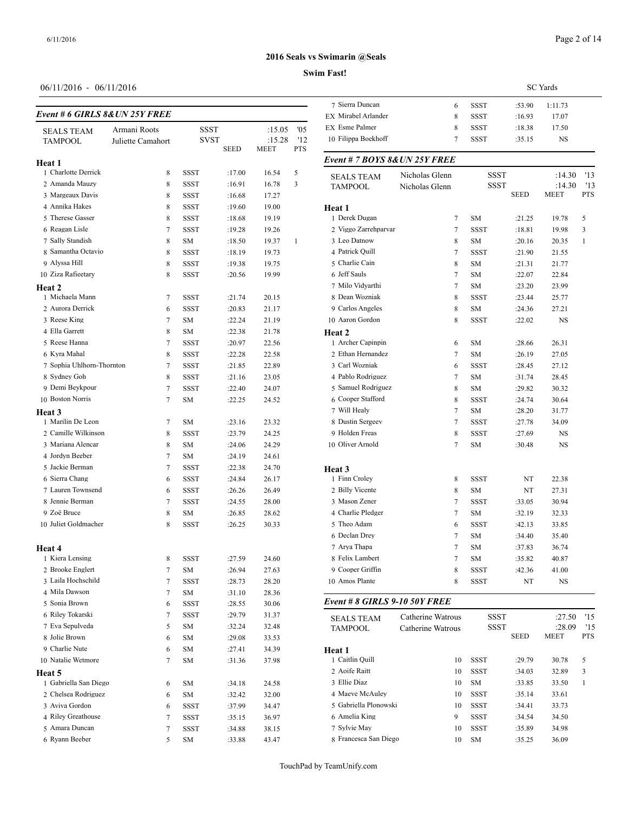# Page 2 of 14

# **2016 Seals vs Swimarin @Seals**

#### **Swim Fast!**

| Event # 6 GIRLS 8& UN 25Y FREE |                   |             |                                    |                          |                   | 7 Sierra Duncan                             |
|--------------------------------|-------------------|-------------|------------------------------------|--------------------------|-------------------|---------------------------------------------|
|                                | Armani Roots      |             |                                    |                          | '05               | EX Mirabel Arlande<br><b>EX</b> Esme Palmer |
| <b>SEALS TEAM</b><br>TAMPOOL   | Juliette Camahort |             | SSST<br><b>SVST</b><br><b>SEED</b> | :15.05<br>:15.28<br>MEET | '12<br><b>PTS</b> | 10 Filippa Boekhof                          |
| Heat 1                         |                   |             |                                    |                          |                   | Event # 7 BOYS                              |
| 1 Charlotte Derrick            | 8                 | SSST        | :17.00                             | 16.54                    | 5                 |                                             |
| 2 Amanda Mauzy                 | 8                 | SSST        | :16.91                             | 16.78                    | 3                 | <b>SEALS TEAM</b><br>TAMPOOL                |
| 3 Margeaux Davis               | 8                 | <b>SSST</b> | :16.68                             | 17.27                    |                   |                                             |
| 4 Annika Hakes                 | 8                 | SSST        | :19.60                             | 19.00                    |                   | Heat 1                                      |
| 5 Therese Gasser               | 8                 | SSST        | :18.68                             | 19.19                    |                   | 1 Derek Dugan                               |
| 6 Reagan Lisle                 | 7                 | <b>SSST</b> | :19.28                             | 19.26                    |                   | 2 Viggo Zarrehpar                           |
| 7 Sally Standish               | 8                 | SM          | :18.50                             | 19.37                    | 1                 | 3 Leo Datnow                                |
| 8 Samantha Octavio             | 8                 | <b>SSST</b> | :18.19                             | 19.73                    |                   | 4 Patrick Quill                             |
| 9 Alyssa Hill                  | 8                 | SSST        | :19.38                             | 19.75                    |                   | 5 Charlie Cain                              |
| 10 Ziza Rafieetary             | 8                 | SSST        | :20.56                             | 19.99                    |                   | 6 Jeff Sauls                                |
| Heat 2                         |                   |             |                                    |                          |                   | 7 Milo Vidyarthi                            |
| 1 Michaela Mann                | 7                 | SSST        | :21.74                             | 20.15                    |                   | 8 Dean Wozniak                              |
| 2 Aurora Derrick               | 6                 | SSST        | :20.83                             | 21.17                    |                   | 9 Carlos Angeles                            |
| 3 Reese King                   | 7                 | <b>SM</b>   | :22.24                             | 21.19                    |                   | 10 Aaron Gordon                             |
| 4 Ella Garrett                 | 8                 | <b>SM</b>   | :22.38                             | 21.78                    |                   | Heat 2                                      |
| 5 Reese Hanna                  | 7                 | <b>SSST</b> | :20.97                             | 22.56                    |                   | 1 Archer Capinpir                           |
| 6 Kyra Mahal                   | 8                 | <b>SSST</b> | :22.28                             | 22.58                    |                   | 2 Ethan Hernande                            |
| 7 Sophia Uhlhorn-Thornton      | 7                 | SSST        | :21.85                             | 22.89                    |                   | 3 Carl Wozniak                              |
| 8 Sydney Goh                   | 8                 | <b>SSST</b> | :21.16                             | 23.05                    |                   | 4 Pablo Rodriguez                           |
| 9 Demi Beykpour                | 7                 | <b>SSST</b> | :22.40                             | 24.07                    |                   | 5 Samuel Rodrigu                            |
| 10 Boston Norris               | 7                 | SМ          | :22.25                             | 24.52                    |                   | 6 Cooper Stafford                           |
| Heat 3                         |                   |             |                                    |                          |                   | 7 Will Healy                                |
| 1 Marilin De Leon              | 7                 | SM          | :23.16                             | 23.32                    |                   | 8 Dustin Sergeev                            |
| 2 Camille Wilkinson            | 8                 | SSST        | :23.79                             | 24.25                    |                   | 9 Holden Freas                              |
| 3 Mariana Alencar              | 8                 | <b>SM</b>   | :24.06                             | 24.29                    |                   | 10 Oliver Arnold                            |
| 4 Jordyn Beeber                | 7                 | <b>SM</b>   | :24.19                             | 24.61                    |                   |                                             |
| 5 Jackie Berman                | 7                 | SSST        | :22.38                             | 24.70                    |                   | Heat 3                                      |
| 6 Sierra Chang                 | 6                 | <b>SSST</b> | :24.84                             | 26.17                    |                   | 1 Finn Croley                               |
| 7 Lauren Townsend              | 6                 | SSST        | :26.26                             | 26.49                    |                   | 2 Billy Vicente                             |
| 8 Jennie Berman                | 7                 | <b>SSST</b> | :24.55                             | 28.00                    |                   | 3 Mason Zener                               |
| 9 Zoë Bruce                    | 8                 | SM          | :26.85                             | 28.62                    |                   | 4 Charlie Pledger                           |
| 10 Juliet Goldmacher           | 8                 | SSST        | :26.25                             | 30.33                    |                   | 5 Theo Adam                                 |
|                                |                   |             |                                    |                          |                   | 6 Declan Drey                               |
| Heat 4                         |                   |             |                                    |                          |                   | 7 Arya Thapa                                |
| 1 Kiera Lensing                | 8                 | SSST        | :27.59                             | 24.60                    |                   | 8 Felix Lambert                             |
| 2 Brooke Englert               | 7                 | SΜ          | :26.94                             | 27.63                    |                   | 9 Cooper Griffin                            |
| 3 Laila Hochschild             | 7                 | SSST        | :28.73                             | 28.20                    |                   | 10 Amos Plante                              |
| 4 Mila Dawson                  | 7                 | SM          | :31.10                             | 28.36                    |                   |                                             |
| 5 Sonia Brown                  | 6                 | SSST        | :28.55                             | 30.06                    |                   | Event # 8 GIRL.                             |
| 6 Riley Tokarski               | 7                 | <b>SSST</b> | :29.79                             | 31.37                    |                   | <b>SEALS TEAM</b>                           |
| 7 Eva Sepulveda                | 5                 | SM          | :32.24                             | 32.48                    |                   | <b>TAMPOOL</b>                              |
| 8 Jolie Brown                  | 6                 | SΜ          | :29.08                             | 33.53                    |                   |                                             |
| 9 Charlie Nute                 | 6                 | SΜ          | :27.41                             | 34.39                    |                   | Heat 1                                      |
| 10 Natalie Wetmore             | 7                 | SΜ          | :31.36                             | 37.98                    |                   | 1 Caitlin Quill                             |
| Heat 5                         |                   |             |                                    |                          |                   | 2 Aoife Raitt                               |
| 1 Gabriella San Diego          | 6                 | SΜ          | :34.18                             | 24.58                    |                   | 3 Ellie Diaz                                |
| 2 Chelsea Rodriguez            | 6                 | SΜ          | :32.42                             | 32.00                    |                   | 4 Maeve McAuley                             |
| 3 Aviva Gordon                 | 6                 | SSST        | :37.99                             | 34.47                    |                   | 5 Gabriella Plonov                          |
| 4 Riley Greathouse             | 7                 | SSST        | :35.15                             | 36.97                    |                   | 6 Amelia King                               |
| 5 Amara Duncan                 | 7                 | SSST        | :34.88                             | 38.15                    |                   | 7 Sylvie May                                |
| 6 Ryann Beeber                 | 5                 | SΜ          | :33.88                             | 43.47                    |                   | 8 Francesca San D                           |

|                                    |                   | <b>SC</b> Yards |        |                |                   |  |  |
|------------------------------------|-------------------|-----------------|--------|----------------|-------------------|--|--|
| 7 Sierra Duncan                    | 6                 | SSST            | :53.90 | 1:11.73        |                   |  |  |
| EX Mirabel Arlander                | 8                 | SSST            | :16.93 | 17.07          |                   |  |  |
| <b>EX</b> Esme Palmer              | 8                 | SSST            | :18.38 | 17.50          |                   |  |  |
| 10 Filippa Boekhoff                | 7                 | SSST            | :35.15 | NS             |                   |  |  |
| Event # 7 BOYS 8& UN 25Y FREE      |                   |                 |        |                |                   |  |  |
| <b>SEALS TEAM</b>                  | Nicholas Glenn    | SSST            |        | :14.30         | '13               |  |  |
| TAMPOOL                            | Nicholas Glenn    | SSST            | SEED   | :14.30<br>MEET | '13<br><b>PTS</b> |  |  |
| Heat 1                             |                   |                 |        |                |                   |  |  |
| 1 Derek Dugan                      | 7                 | SM              | :21.25 | 19.78          | 5                 |  |  |
| 2 Viggo Zarrehparvar               | 7                 | <b>SSST</b>     | :18.81 | 19.98          | 3                 |  |  |
| 3 Leo Datnow                       | 8                 | <b>SM</b>       | :20.16 | 20.35          | 1                 |  |  |
| 4 Patrick Quill                    | 7                 | <b>SSST</b>     | :21.90 | 21.55          |                   |  |  |
| 5 Charlie Cain                     | 8                 | <b>SM</b>       | :21.31 | 21.77          |                   |  |  |
| 6 Jeff Sauls                       | 7                 | SM              | :22.07 | 22.84          |                   |  |  |
| 7 Milo Vidyarthi                   | 7                 | SM              | :23.20 | 23.99          |                   |  |  |
| 8 Dean Wozniak                     | 8                 | SSST            | :23.44 | 25.77          |                   |  |  |
| 9 Carlos Angeles                   | 8                 | SM              | :24.36 | 27.21          |                   |  |  |
| 10 Aaron Gordon                    | 8                 | SSST            | :22.02 | NS             |                   |  |  |
| Heat 2                             |                   |                 |        |                |                   |  |  |
| 1 Archer Capinpin                  | 6                 | SM              | :28.66 | 26.31          |                   |  |  |
| 2 Ethan Hernandez                  | 7                 | SM              | :26.19 | 27.05          |                   |  |  |
| 3 Carl Wozniak                     | 6                 | SSST            | :28.45 | 27.12          |                   |  |  |
| 4 Pablo Rodriguez                  | 7                 | <b>SM</b>       | :31.74 | 28.45          |                   |  |  |
| 5 Samuel Rodriguez                 | 8                 | SM              | :29.82 | 30.32          |                   |  |  |
| 6 Cooper Stafford                  | 8                 | <b>SSST</b>     | :24.74 | 30.64          |                   |  |  |
| 7 Will Healy                       | 7                 | <b>SM</b>       | :28.20 | 31.77          |                   |  |  |
| 8 Dustin Sergeev<br>9 Holden Freas | 7                 | SSST            | :27.78 | 34.09          |                   |  |  |
| 10 Oliver Arnold                   | 8                 | SSST            | :27.69 | NS             |                   |  |  |
|                                    | 7                 | <b>SM</b>       | :30.48 | NS             |                   |  |  |
| Heat 3                             |                   |                 |        |                |                   |  |  |
| 1 Finn Croley                      | 8                 | SSST            | NT     | 22.38          |                   |  |  |
| 2 Billy Vicente                    | 8                 | SM              | NT     | 27.31          |                   |  |  |
| 3 Mason Zener                      | 7                 | <b>SSST</b>     | :33.05 | 30.94          |                   |  |  |
| 4 Charlie Pledger                  | 7                 | SM              | :32.19 | 32.33          |                   |  |  |
| 5 Theo Adam                        | 6                 | SSST            | :42.13 | 33.85          |                   |  |  |
| 6 Declan Drey                      | 7                 | ${\rm SM}$      | :34.40 | 35.40          |                   |  |  |
| 7 Arya Thapa                       | 7                 | SΜ              | :37.83 | 36.74          |                   |  |  |
| 8 Felix Lambert                    | 7                 | SM              | :35.82 | 40.87          |                   |  |  |
| 9 Cooper Griffin                   | 8                 | SSST            | :42.36 | 41.00          |                   |  |  |
| 10 Amos Plante                     | 8                 | SSST            | NT     | NS             |                   |  |  |
| Event # 8 GIRLS 9-10 50Y FREE      |                   |                 |        |                |                   |  |  |
| <b>SEALS TEAM</b>                  | Catherine Watrous | SSST            |        | :27.50         | '15               |  |  |
| TAMPOOL                            | Catherine Watrous | SSST            |        | :28.09         | '15               |  |  |
|                                    |                   |                 | SEED   | MEET           | PTS               |  |  |
| Heat 1                             |                   |                 |        |                |                   |  |  |
| 1 Caitlin Quill                    | 10                | SSST            | :29.79 | 30.78          | 5                 |  |  |
| 2 Aoife Raitt                      | 10                | SSST            | :34.03 | 32.89          | 3                 |  |  |
| 3 Ellie Diaz                       | 10                | SM              | :33.85 | 33.50          | $\mathbf{1}$      |  |  |
| 4 Maeve McAuley                    | 10                | SSST            | :35.14 | 33.61          |                   |  |  |
| 5 Gabriella Plonowski              | 10                | SSST            | :34.41 | 33.73          |                   |  |  |

 Amelia King 9 SSST :34.54 34.50 Sylvie May 10 SSST :35.89 34.98 Francesca San Diego 10 SM :35.25 36.09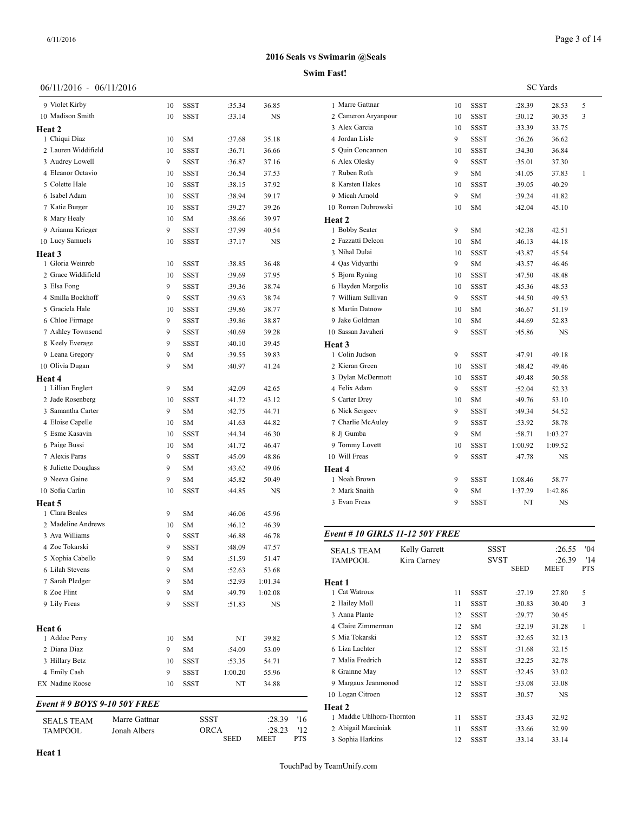#### **Swim Fast!**

|  | 06/11/2016 - 06/11/2016 |  |
|--|-------------------------|--|
|--|-------------------------|--|

| 9 Violet Kirby               |               | 10 | SSST        | :35.34  | 36.85   | 1 Marre Gattnar          |  |
|------------------------------|---------------|----|-------------|---------|---------|--------------------------|--|
| 10 Madison Smith             |               | 10 | SSST        | :33.14  | NS      | 2 Cameron Aryan          |  |
| Heat 2                       |               |    |             |         |         | 3 Alex Garcia            |  |
| 1 Chiqui Diaz                |               | 10 | SM          | :37.68  | 35.18   | 4 Jordan Lisle           |  |
| 2 Lauren Widdifield          |               | 10 | SSST        | :36.71  | 36.66   | 5 Quin Concannor         |  |
| 3 Audrey Lowell              |               | 9  | SSST        | :36.87  | 37.16   | 6 Alex Olesky            |  |
| 4 Eleanor Octavio            |               | 10 | <b>SSST</b> | :36.54  | 37.53   | 7 Ruben Roth             |  |
| 5 Colette Hale               |               | 10 | SSST        | :38.15  | 37.92   | 8 Karsten Hakes          |  |
| 6 Isabel Adam                |               | 10 | SSST        | :38.94  | 39.17   | 9 Micah Arnold           |  |
| 7 Katie Burger               |               | 10 | SSST        | :39.27  | 39.26   | 10 Roman Dubrow          |  |
| 8 Mary Healy                 |               | 10 | SM          | :38.66  | 39.97   | Heat 2                   |  |
| 9 Arianna Krieger            |               | 9  | SSST        | :37.99  | 40.54   | 1 Bobby Seater           |  |
| 10 Lucy Samuels              |               | 10 | SSST        | :37.17  | NS      | 2 Fazzatti Deleon        |  |
| Heat 3                       |               |    |             |         |         | 3 Nihal Dulai            |  |
| 1 Gloria Weinreb             |               | 10 | SSST        | :38.85  | 36.48   | 4 Qas Vidyarthi          |  |
| 2 Grace Widdifield           |               | 10 | SSST        | :39.69  | 37.95   | 5 Bjorn Ryning           |  |
| 3 Elsa Fong                  |               | 9  | SSST        | :39.36  | 38.74   | 6 Hayden Margoli         |  |
| 4 Smilla Boekhoff            |               | 9  | <b>SSST</b> | :39.63  | 38.74   | 7 William Sullivar       |  |
| 5 Graciela Hale              |               | 10 | SSST        | :39.86  | 38.77   | 8 Martin Datnow          |  |
| 6 Chloe Firmage              |               | 9  | <b>SSST</b> | :39.86  | 38.87   | 9 Jake Goldman           |  |
| 7 Ashley Townsend            |               | 9  | <b>SSST</b> | :40.69  | 39.28   | 10 Sassan Javaheri       |  |
| 8 Keely Everage              |               | 9  | SSST        | :40.10  | 39.45   | Heat 3                   |  |
| 9 Leana Gregory              |               | 9  | SM          | :39.55  | 39.83   | 1 Colin Judson           |  |
| 10 Olivia Dugan              |               | 9  | SM          | :40.97  | 41.24   | 2 Kieran Green           |  |
| Heat 4                       |               |    |             |         |         | 3 Dylan McDermo          |  |
| 1 Lillian Englert            |               | 9  | SM          | :42.09  | 42.65   | 4 Felix Adam             |  |
| 2 Jade Rosenberg             |               | 10 | SSST        | :41.72  | 43.12   | 5 Carter Drey            |  |
| 3 Samantha Carter            |               | 9  | SM          | :42.75  | 44.71   | 6 Nick Sergeev           |  |
| 4 Eloise Capelle             |               | 10 | SM          | :41.63  | 44.82   | 7 Charlie McAule         |  |
| 5 Esme Kasavin               |               | 10 | SSST        | :44.34  | 46.30   | 8 Jj Gumba               |  |
| 6 Paige Bussi                |               | 10 | SM          | :41.72  | 46.47   | 9 Tommy Lovett           |  |
| 7 Alexis Paras               |               | 9  | <b>SSST</b> | :45.09  | 48.86   | 10 Will Freas            |  |
| 8 Juliette Douglass          |               | 9  | SM          | :43.62  | 49.06   | <b>Heat 4</b>            |  |
| 9 Neeva Gaine                |               | 9  | SM          | :45.82  | 50.49   | 1 Noah Brown             |  |
| 10 Sofia Carlin              |               | 10 | SSST        | :44.85  | NS      | 2 Mark Snaith            |  |
| Heat 5                       |               |    |             |         |         | 3 Evan Freas             |  |
| 1 Clara Beales               |               | 9  | SM          | :46.06  | 45.96   |                          |  |
| 2 Madeline Andrews           |               | 10 | SM          | :46.12  | 46.39   |                          |  |
| 3 Ava Williams               |               | 9  | SSST        | :46.88  | 46.78   | Event # 10 GIRI          |  |
| 4 Zoe Tokarski               |               | 9  | <b>SSST</b> | :48.09  | 47.57   | <b>SEALS TEAM</b>        |  |
| 5 Xophia Cabello             |               | 9  | SМ          | :51.59  | 51.47   | <b>TAMPOOL</b>           |  |
| 6 Lilah Stevens              |               | 9  | SM          | :52.63  | 53.68   |                          |  |
| 7 Sarah Pledger              |               | 9  | SM          | :52.93  | 1:01.34 | Heat 1                   |  |
| 8 Zoe Flint                  |               | 9  | SM          | :49.79  | 1:02.08 | 1 Cat Watrous            |  |
| 9 Lily Freas                 |               | 9  | SSST        | :51.83  | NS      | 2 Hailey Moll            |  |
|                              |               |    |             |         |         | 3 Anna Plante            |  |
| Heat 6                       |               |    |             |         |         | 4 Claire Zimmern         |  |
| 1 Addoe Perry                |               | 10 | SM          | NT      | 39.82   | 5 Mia Tokarski           |  |
| 2 Diana Diaz                 |               | 9  | SΜ          | :54.09  | 53.09   | 6 Liza Lachter           |  |
| 3 Hillary Betz               |               | 10 | SSST        | :53.35  | 54.71   | 7 Malia Fredrich         |  |
| 4 Emily Cash                 |               | 9  | SSST        | 1:00.20 | 55.96   | 8 Grainne May            |  |
| EX Nadine Roose              |               | 10 | SSST        | NT      | 34.88   | 9 Margaux Jeanm          |  |
|                              |               |    |             |         |         | 10 Logan Citroen         |  |
| Event # 9 BOYS 9-10 50Y FREE |               |    |             |         |         | Heat 2                   |  |
| SEALS TEAM                   | Marre Gattnar |    |             | SSST    | :28.39  | 1 Maddie Uhlhorr<br>'16  |  |
| TAMPOOL                      | Jonah Albers  |    |             | ORCA    | :28.23  | 2 Abigail Marcini<br>'12 |  |
|                              |               |    |             | SEED    | MEET    | PTS<br>3 Sophia Harkins  |  |

|                     |    |             |         | <b>SC</b> Yards |              |
|---------------------|----|-------------|---------|-----------------|--------------|
| 1 Marre Gattnar     | 10 | <b>SSST</b> | :28.39  | 28.53           | 5            |
| 2 Cameron Aryanpour | 10 | <b>SSST</b> | :30.12  | 30.35           | 3            |
| 3 Alex Garcia       | 10 | <b>SSST</b> | :33.39  | 33.75           |              |
| 4 Jordan Lisle      | 9  | <b>SSST</b> | :36.26  | 36.62           |              |
| 5 Ouin Concannon    | 10 | <b>SSST</b> | :34.30  | 36.84           |              |
| 6 Alex Olesky       | 9  | <b>SSST</b> | :35.01  | 37.30           |              |
| 7 Ruben Roth        | 9  | SM          | :41.05  | 37.83           | $\mathbf{1}$ |
| 8 Karsten Hakes     | 10 | <b>SSST</b> | :39.05  | 40.29           |              |
| 9 Micah Arnold      | 9  | <b>SM</b>   | :39.24  | 41.82           |              |
| 10 Roman Dubrowski  | 10 | <b>SM</b>   | :42.04  | 45.10           |              |
| Heat 2              |    |             |         |                 |              |
| 1 Bobby Seater      | 9  | <b>SM</b>   | :42.38  | 42.51           |              |
| 2 Fazzatti Deleon   | 10 | SM          | :46.13  | 44.18           |              |
| 3 Nihal Dulai       | 10 | <b>SSST</b> | :43.87  | 45.54           |              |
| 4 Qas Vidyarthi     | 9  | <b>SM</b>   | :43.57  | 46.46           |              |
| 5 Bjorn Ryning      | 10 | <b>SSST</b> | :47.50  | 48.48           |              |
| 6 Hayden Margolis   | 10 | <b>SSST</b> | :45.36  | 48.53           |              |
| 7 William Sullivan  | 9  | <b>SSST</b> | :44.50  | 49.53           |              |
| 8 Martin Datnow     | 10 | <b>SM</b>   | :46.67  | 51.19           |              |
| 9 Jake Goldman      | 10 | SM          | :44.69  | 52.83           |              |
| 10 Sassan Javaheri  | 9  | <b>SSST</b> | :45.86  | NS              |              |
| Heat 3              |    |             |         |                 |              |
| 1 Colin Judson      | 9  | <b>SSST</b> | :47.91  | 49.18           |              |
| 2 Kieran Green      | 10 | SSST        | :48.42  | 49.46           |              |
| 3 Dylan McDermott   | 10 | <b>SSST</b> | :49.48  | 50.58           |              |
| 4 Felix Adam        | 9  | <b>SSST</b> | :52.04  | 52.33           |              |
| 5 Carter Drey       | 10 | SM          | :49.76  | 53.10           |              |
| 6 Nick Sergeev      | 9  | <b>SSST</b> | :49.34  | 54.52           |              |
| 7 Charlie McAuley   | 9  | <b>SSST</b> | :53.92  | 58.78           |              |
| 8 Ji Gumba          | 9  | SM          | :58.71  | 1:03.27         |              |
| 9 Tommy Lovett      | 10 | <b>SSST</b> | 1:00.92 | 1:09.52         |              |
| 10 Will Freas       | 9  | <b>SSST</b> | :47.78  | NS              |              |
| Heat 4              |    |             |         |                 |              |
| 1 Noah Brown        | 9  | <b>SSST</b> | 1:08.46 | 58.77           |              |
| 2 Mark Snaith       | 9  | <b>SM</b>   | 1:37.29 | 1:42.86         |              |
| 3 Evan Freas        | 9  | <b>SSST</b> | NT      | <b>NS</b>       |              |
|                     |    |             |         |                 |              |

# *Event # 10 GIRLS 11-12 50Y FREE*

| <b>SEALS TEAM</b><br><b>TAMPOOL</b> | Kelly Garrett<br>Kira Carney |    | <b>SSST</b><br><b>SVST</b> |        | :26.55<br>:26.39 | 04'<br>'14 |
|-------------------------------------|------------------------------|----|----------------------------|--------|------------------|------------|
|                                     |                              |    |                            | SEED   | MEET             | <b>PTS</b> |
| Heat 1                              |                              |    |                            |        |                  |            |
| 1 Cat Watrous                       |                              | 11 | SSST                       | :27.19 | 27.80            | 5          |
| 2 Hailey Moll                       |                              | 11 | SSST                       | :30.83 | 30.40            | 3          |
| 3 Anna Plante                       |                              | 12 | SSST                       | :29.77 | 30.45            |            |
| 4 Claire Zimmerman                  |                              | 12 | <b>SM</b>                  | :32.19 | 31.28            | 1          |
| 5 Mia Tokarski                      |                              | 12 | SSST                       | :32.65 | 32.13            |            |
| 6 Liza Lachter                      |                              | 12 | SSST                       | :31.68 | 32.15            |            |
| 7 Malia Fredrich                    |                              | 12 | <b>SSST</b>                | :32.25 | 32.78            |            |
| 8 Grainne May                       |                              | 12 | SSST                       | :32.45 | 33.02            |            |
| 9 Margaux Jeanmonod                 |                              | 12 | <b>SSST</b>                | :33.08 | 33.08            |            |
| 10 Logan Citroen                    |                              | 12 | <b>SSST</b>                | :30.57 | NS               |            |
| Heat 2                              |                              |    |                            |        |                  |            |
| 1 Maddie Uhlhorn-Thornton           |                              | 11 | <b>SSST</b>                | :33.43 | 32.92            |            |
| 2 Abigail Marciniak                 |                              | 11 | <b>SSST</b>                | :33.66 | 32.99            |            |
| 3 Sophia Harkins                    |                              | 12 | <b>SSST</b>                | :33.14 | 33.14            |            |
|                                     |                              |    |                            |        |                  |            |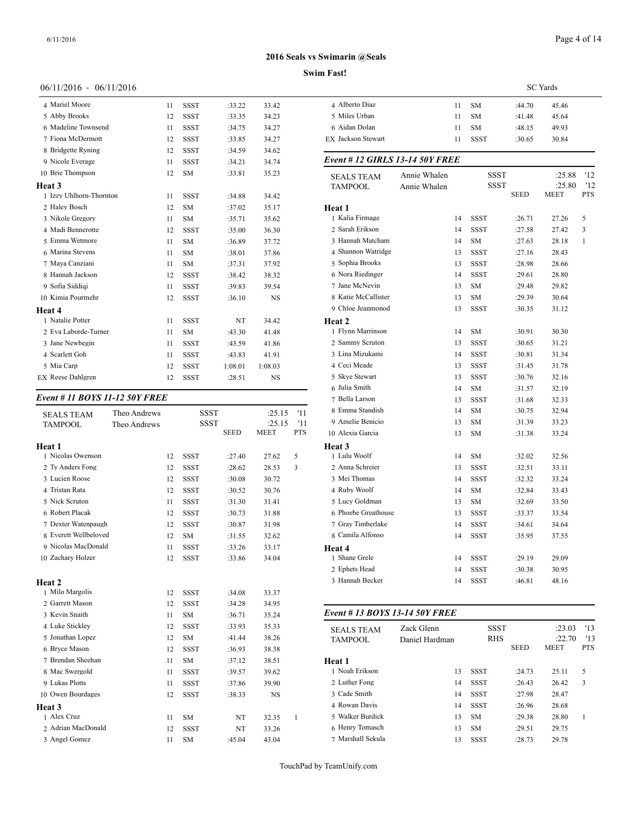# 06/11/2016 - 06/11/2016

| 4 Mariel Moore           | 11 | <b>SSST</b> | :33.22  | 33.42     | 4 Albert     |
|--------------------------|----|-------------|---------|-----------|--------------|
| 5 Abby Brooks            | 12 | <b>SSST</b> | :33.35  | 34.23     | 5 Miles      |
| 6 Madeline Townsend      | 11 | <b>SSST</b> | :34.75  | 34.27     | 6 Aidan      |
| 7 Fiona McDermott        | 12 | <b>SSST</b> | :33.85  | 34.27     | EX Jackso    |
| 8 Bridgette Ryning       | 12 | <b>SSST</b> | :34.59  | 34.62     |              |
| 9 Nicole Everage         | 11 | <b>SSST</b> | :34.21  | 34.74     | Event #      |
| 10 Brie Thompson         | 12 | <b>SM</b>   | :33.81  | 35.23     | <b>SEALS</b> |
| Heat 3                   |    |             |         |           | <b>TAMPC</b> |
| 1 Izzy Uhlhorn-Thornton  | 11 | <b>SSST</b> | :34.88  | 34.42     |              |
| 2 Haley Bosch            | 12 | <b>SM</b>   | :37.02  | 35.17     | Heat 1       |
| 3 Nikole Gregory         | 11 | <b>SM</b>   | :35.71  | 35.62     | 1 Kalia l    |
| 4 Madi Bennerotte        | 12 | <b>SSST</b> | :35.00  | 36.30     | 2 Sarah      |
| 5 Emma Wetmore           | 11 | <b>SM</b>   | :36.89  | 37.72     | 3 Hanna      |
| 6 Marina Stevens         | 11 | <b>SM</b>   | :38.01  | 37.86     | 4 Shann      |
| 7 Maya Canziani          | 11 | <b>SM</b>   | :37.31  | 37.92     | 5 Sophia     |
| 8 Hannah Jackson         | 12 | <b>SSST</b> | :38.42  | 38.32     | 6 Nora I     |
| 9 Sofia Siddiqi          | 11 | <b>SSST</b> | :39.83  | 39.54     | 7 Jane N     |
| 10 Kimia Pourmehr        | 12 | <b>SSST</b> | :36.10  | <b>NS</b> | 8 Katie l    |
| Heat 4                   |    |             |         |           | 9 Chloe      |
| 1 Natalie Potter         | 11 | <b>SSST</b> | NT      | 34.42     | Heat 2       |
| 2 Eva Laborde-Turner     | 11 | SM          | :43.30  | 41.48     | 1 Flynn      |
| 3 Jane Newbegin          | 11 | <b>SSST</b> | :43.59  | 41.86     | 2 Samm       |
| 4 Scarlett Goh           | 11 | <b>SSST</b> | :43.83  | 41.91     | 3 Lina N     |
| 5 Mia Carp               | 12 | <b>SSST</b> | 1:08.01 | 1:08.03   | 4 Ceci N     |
| <b>EX</b> Reese Dahlgren | 12 | <b>SSST</b> | :28.51  | <b>NS</b> | 5 Skye S     |
|                          |    |             |         |           |              |

#### *Event # 11 BOYS 11-12 50Y FREE*

| <b>SEALS TEAM</b>     | Theo Andrews |    | <b>SSST</b> |             | :25.15      | '11 | 8 Emma Standish               | 14             | <b>SM</b>   | :30.75      | 32.94       |            |
|-----------------------|--------------|----|-------------|-------------|-------------|-----|-------------------------------|----------------|-------------|-------------|-------------|------------|
| <b>TAMPOOL</b>        | Theo Andrews |    | <b>SSST</b> |             | :25.15      | '11 | 9 Amelie Benicio              | 13             | <b>SM</b>   | :31.39      | 33.23       |            |
|                       |              |    |             | <b>SEED</b> | <b>MEET</b> | PTS | 10 Alexia Garcia              | 13             | <b>SM</b>   | :31.38      | 33.24       |            |
| Heat 1                |              |    |             |             |             |     | Heat 3                        |                |             |             |             |            |
| 1 Nicolas Owenson     |              | 12 | <b>SSST</b> | :27.40      | 27.62       | 5   | 1 Lulu Woolf                  | 14             | <b>SM</b>   | :32.02      | 32.56       |            |
| 2 Ty Anders Fong      |              | 12 | <b>SSST</b> | :28.62      | 28.53       | 3   | 2 Anna Schreier               | 13             | <b>SSST</b> | :32.51      | 33.11       |            |
| 3 Lucien Roose        |              | 12 | <b>SSST</b> | :30.08      | 30.72       |     | 3 Mei Thomas                  | 14             | <b>SSST</b> | :32.32      | 33.24       |            |
| 4 Tristan Rata        |              | 12 | <b>SSST</b> | :30.52      | 30.76       |     | 4 Ruby Woolf                  | 14             | <b>SM</b>   | :32.84      | 33.43       |            |
| 5 Nick Scruton        |              | 11 | <b>SSST</b> | :31.30      | 31.41       |     | 5 Lucy Goldman                | 13             | <b>SM</b>   | :32.69      | 33.50       |            |
| 6 Robert Placak       |              | 12 | <b>SSST</b> | :30.73      | 31.88       |     | 6 Phoebe Greathouse           | 13             | <b>SSST</b> | :33.37      | 33.54       |            |
| 7 Dexter Watenpaugh   |              | 12 | <b>SSST</b> | :30.87      | 31.98       |     | 7 Gray Timberlake             | 14             | <b>SSST</b> | :34.61      | 34.64       |            |
| 8 Everett Wellbeloved |              | 12 | <b>SM</b>   | :31.55      | 32.62       |     | 8 Camila Alfonso              | 14             | <b>SSST</b> | :35.95      | 37.55       |            |
| 9 Nicolas MacDonald   |              | 11 | <b>SSST</b> | :33.26      | 33.17       |     | Heat 4                        |                |             |             |             |            |
| 10 Zachary Holzer     |              | 12 | <b>SSST</b> | :33.86      | 34.04       |     | 1 Shane Grele                 | 14             | <b>SSST</b> | :29.19      | 29.09       |            |
|                       |              |    |             |             |             |     | 2 Ephets Head                 | 14             | <b>SSST</b> | :30.38      | 30.95       |            |
| <b>Heat 2</b>         |              |    |             |             |             |     | 3 Hannah Becker               | 14             | <b>SSST</b> | :46.81      | 48.16       |            |
| 1 Milo Margolis       |              | 12 | <b>SSST</b> | :34.08      | 33.37       |     |                               |                |             |             |             |            |
| 2 Garrett Mason       |              | 12 | <b>SSST</b> | :34.28      | 34.95       |     |                               |                |             |             |             |            |
| 3 Kevin Snaith        |              | 11 | <b>SM</b>   | :36.71      | 35.24       |     | Event #13 BOYS 13-14 50Y FREE |                |             |             |             |            |
| 4 Luke Stickley       |              | 12 | <b>SSST</b> | :33.93      | 35.33       |     | <b>SEALS TEAM</b>             | Zack Glenn     | <b>SSST</b> |             | :23.03      | '13        |
| 5 Jonathan Lopez      |              | 12 | <b>SM</b>   | :41.44      | 38.26       |     | <b>TAMPOOL</b>                | Daniel Hardman | <b>RHS</b>  |             | :22.70      | '13        |
| 6 Bryce Mason         |              | 12 | <b>SSST</b> | :36.93      | 38.38       |     |                               |                |             | <b>SEED</b> | <b>MEET</b> | <b>PTS</b> |
| 7 Brendan Sheehan     |              | 11 | <b>SM</b>   | :37.12      | 38.51       |     | Heat 1                        |                |             |             |             |            |
| 8 Mac Swergold        |              | 11 | <b>SSST</b> | :39.57      | 39.62       |     | 1 Noah Erikson                | 13             | <b>SSST</b> | :24.73      | 25.11       | 5          |
| 9 Lukas Plotts        |              | 11 | <b>SSST</b> | :37.86      | 39.90       |     | 2 Luther Fong                 | 14             | <b>SSST</b> | :26.43      | 26.42       | 3          |
| 10 Owen Bourdages     |              | 12 | <b>SSST</b> | :38.33      | <b>NS</b>   |     | 3 Cade Smith                  | 14             | <b>SSST</b> | :27.98      | 28.47       |            |
| Heat 3                |              |    |             |             |             |     | 4 Rowan Davis                 | 14             | <b>SSST</b> | :26.96      | 28.68       |            |
| 1 Alex Cruz           |              | 11 | <b>SM</b>   | NT          | 32.35       |     | 5 Walker Burdick              | 13             | <b>SM</b>   | :29.38      | 28.80       | 1          |
| 2 Adrian MacDonald    |              | 12 | <b>SSST</b> | NT          | 33.26       |     | 6 Henry Tomasch               | 13             | <b>SM</b>   | :29.51      | 29.75       |            |
| 3 Angel Gomez         |              | 11 | <b>SM</b>   | :45.04      | 43.04       |     | 7 Marshall Sekula             | 13             | <b>SSST</b> | :28.73      | 29.78       |            |

# SEED MEET PTS 10 Alexia Garcia 13 SM :31.38 33.24 Alberto Diaz 11 SM :44.70 45.46 Miles Urban 11 SM :41.48 45.64 Aidan Dolan 11 SM :48.15 49.93 EX Jackson Stewart 11 SSST :30.65 30.84 *Event # 12 GIRLS 13-14 50Y FREE* SEALS TEAM Annie Whalen SSST :25.88 '12<br>TAMPOOL Annie Whalen SSST :25.80 '12 TAMPOOL Annie Whalen SSST :25.80 '12<br>SEED MEET PTS **Heat 1** Kalia Firmage 14 SSST :26.71 27.26 5 Sarah Erikson 14 SSST :27.58 27.42 3 Hannah Matcham 14 SM :27.63 28.18 1 Shannon Watridge 13 SSST :27.16 28.43 Sophia Brooks 13 SSST :28.98 28.66 Nora Riedinger 14 SSST :29.61 28.80 Jane McNevin 13 SM :29.48 29.82 8 Katie McCallister 13 SM :29.39 30.64 Chloe Jeanmonod 13 SSST :30.35 31.12 **Heat 2** Flynn Marrinson 14 SM :30.91 30.30 2 Sammy Scruton 13 SSST :30.65 31.21 Lina Mizukami 14 SSST :30.81 31.34 4 Ceci Meade 13 SSST :31.45 31.78 Skye Stewart 13 SSST :30.76 32.16 Julia Smith 14 SM :31.57 32.19 Bella Larson 13 SSST :31.68 32.33 Emma Standish 14 SM :30.75 32.94 **Heat 3** Lulu Woolf 14 SM :32.02 32.56

**Swim Fast! 2016 Seals vs Swimarin @Seals**

## *Event # 13 BOYS 13-14 50Y FREE*

| <b>SEALS TEAM</b> | Zack Glenn     | <b>SSST</b> |             | :23.03      | 13         |
|-------------------|----------------|-------------|-------------|-------------|------------|
| <b>TAMPOOL</b>    | Daniel Hardman | <b>RHS</b>  |             | :22.70      | '13        |
|                   |                |             | <b>SEED</b> | <b>MEET</b> | <b>PTS</b> |
| Heat 1            |                |             |             |             |            |
| 1 Noah Erikson    | 13             | <b>SSST</b> | :24.73      | 25.11       | 5          |
| 2 Luther Fong     | 14             | <b>SSST</b> | :26.43      | 26.42       | 3          |
| 3 Cade Smith      | 14             | <b>SSST</b> | :27.98      | 28.47       |            |
| 4 Rowan Davis     | 14             | <b>SSST</b> | :26.96      | 28.68       |            |
| 5 Walker Burdick  | 13             | <b>SM</b>   | :29.38      | 28.80       |            |
| 6 Henry Tomasch   | 13             | <b>SM</b>   | :29.51      | 29.75       |            |
| 7 Marshall Sekula | 13             | <b>SSST</b> | :28.73      | 29.78       |            |

TouchPad by TeamUnify.com

SC Yards

**MEET**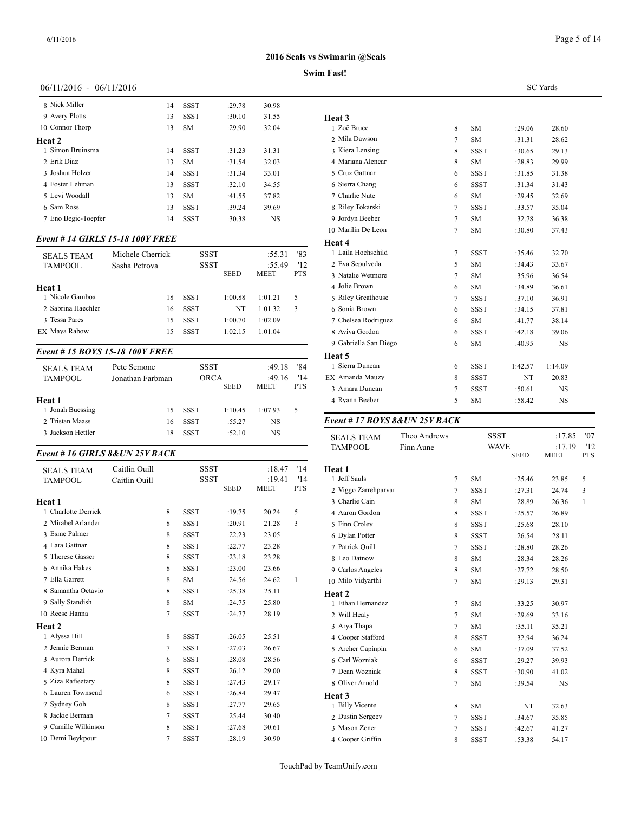# **Swim Fast!**

#### 06/11/2016 - 06/11/2016

| 8 Nick Miller       | 14 | <b>SSST</b> | :29.78 | 30.98     |                    |
|---------------------|----|-------------|--------|-----------|--------------------|
| 9 Avery Plotts      | 13 | <b>SSST</b> | :30.10 | 31.55     | Heat 3             |
| 10 Connor Thorp     | 13 | <b>SM</b>   | :29.90 | 32.04     | $1 \text{ Zoë } B$ |
| Heat 2              |    |             |        |           | 2 Mila L           |
| 1 Simon Bruinsma    | 14 | <b>SSST</b> | :31.23 | 31.31     | 3 Kiera            |
| 2 Erik Diaz         | 13 | <b>SM</b>   | :31.54 | 32.03     | 4 Maria            |
| 3 Joshua Holzer     | 14 | <b>SSST</b> | :31.34 | 33.01     | 5 Cruz C           |
| 4 Foster Lehman     | 13 | <b>SSST</b> | :32.10 | 34.55     | 6 Sierra           |
| 5 Levi Woodall      | 13 | <b>SM</b>   | :41.55 | 37.82     | 7 Charli           |
| 6 Sam Ross          | 13 | <b>SSST</b> | :39.24 | 39.69     | 8 Riley'           |
| 7 Eno Begic-Toepfer | 14 | <b>SSST</b> | :30.38 | <b>NS</b> | 9 Jordyr           |
|                     |    |             |        |           |                    |

## *Event # 14 GIRLS 15-18 100Y FREE*

| <b>SEALS TEAM</b><br><b>TAMPOOL</b> | Michele Cherrick<br>Sasha Petrova | <b>SSST</b><br><b>SSST</b> | <b>SEED</b> | :55.31<br>:55.49<br><b>MEET</b> | '83<br>'12<br><b>PTS</b> | .<br>1 Laila Hochschil<br>2 Eva Sepulveda<br>3 Natalie Wetmore |
|-------------------------------------|-----------------------------------|----------------------------|-------------|---------------------------------|--------------------------|----------------------------------------------------------------|
| Heat 1                              |                                   |                            |             |                                 |                          | 4 Jolie Brown                                                  |
| 1 Nicole Gamboa                     | 18                                | SSST                       | 1:00.88     | 1:01.21                         | 5                        | 5 Riley Greathous                                              |
| 2 Sabrina Haechler                  | 16                                | <b>SSST</b>                | NT          | 1:01.32                         | 3                        | 6 Sonia Brown                                                  |
| 3 Tessa Pares                       | 15                                | <b>SSST</b>                | 1:00.70     | 1:02.09                         |                          | 7 Chelsea Rodrigu                                              |
| EX Maya Rabow                       | 15                                | <b>SSST</b>                | 1:02.15     | 1:01.04                         |                          | 8 Aviva Gordon                                                 |
|                                     |                                   |                            |             |                                 |                          |                                                                |

# *Event # 15 BOYS 15-18 100Y FREE*

| <b>SEALS TEAM</b><br><b>TAMPOOL</b> | Pete Semone<br>Jonathan Farbman | <b>SSST</b><br>ORCA |             | :49.18<br>:49.16 | '84<br>'14 | 1 Sierra Duncan<br>EX Amanda Mauzy |  |
|-------------------------------------|---------------------------------|---------------------|-------------|------------------|------------|------------------------------------|--|
| Heat 1                              |                                 |                     | <b>SEED</b> | <b>MEET</b>      | <b>PTS</b> | 3 Amara Duncan<br>4 Ryann Beeber   |  |
| 1 Jonah Buessing                    | 15                              | <b>SSST</b>         | 1:10.45     | 1:07.93          | 5.         |                                    |  |
| 2 Tristan Maass                     | 16                              | <b>SSST</b>         | :55.27      | NS               |            | Event # $17 BOY$                   |  |
| 3 Jackson Hettler                   | 18                              | <b>SSST</b>         | :52.10      | NS               |            | <b>SEALS TEAM</b>                  |  |

# *Event # 16 GIRLS 8&UN 25Y BACK*

| <b>SEALS TEAM</b>   | Caitlin Ouill |   | <b>SSST</b> |             | :18.47                | '14<br>'14 | Heat 1<br>1 Jeff Sauls |
|---------------------|---------------|---|-------------|-------------|-----------------------|------------|------------------------|
| <b>TAMPOOL</b>      | Caitlin Ouill |   | SSST        | <b>SEED</b> | :19.41<br><b>MEET</b> | <b>PTS</b> | 2 Viggo Zarrehpar      |
| Heat 1              |               |   |             |             |                       |            | 3 Charlie Cain         |
| 1 Charlotte Derrick |               | 8 | <b>SSST</b> | :19.75      | 20.24                 | 5          | 4 Aaron Gordon         |
| 2 Mirabel Arlander  |               | 8 | <b>SSST</b> | :20.91      | 21.28                 | 3          | 5 Finn Crolev          |
| 3 Esme Palmer       |               | 8 | <b>SSST</b> | :22.23      | 23.05                 |            | 6 Dylan Potter         |
| 4 Lara Gattnar      |               | 8 | <b>SSST</b> | :22.77      | 23.28                 |            |                        |
|                     |               |   |             |             |                       |            | 7 Patrick Quill        |
| 5 Therese Gasser    |               | 8 | <b>SSST</b> | :23.18      | 23.28                 |            | 8 Leo Datnow           |
| 6 Annika Hakes      |               | 8 | <b>SSST</b> | :23.00      | 23.66                 |            | 9 Carlos Angeles       |
| 7 Ella Garrett      |               | 8 | <b>SM</b>   | :24.56      | 24.62                 | 1          | 10 Milo Vidyarthi      |
| 8 Samantha Octavio  |               | 8 | <b>SSST</b> | :25.38      | 25.11                 |            | Heat 2                 |
| 9 Sally Standish    |               | 8 | <b>SM</b>   | :24.75      | 25.80                 |            | 1 Ethan Hernande       |
| 10 Reese Hanna      |               | 7 | <b>SSST</b> | :24.77      | 28.19                 |            | 2 Will Healy           |
| <b>Heat 2</b>       |               |   |             |             |                       |            | 3 Arya Thapa           |
| 1 Alyssa Hill       |               | 8 | <b>SSST</b> | :26.05      | 25.51                 |            | 4 Cooper Stafford      |
| 2 Jennie Berman     |               | 7 | <b>SSST</b> | :27.03      | 26.67                 |            | 5 Archer Capinpir      |
| 3 Aurora Derrick    |               | 6 | <b>SSST</b> | :28.08      | 28.56                 |            | 6 Carl Wozniak         |
| 4 Kyra Mahal        |               | 8 | <b>SSST</b> | :26.12      | 29.00                 |            | 7 Dean Wozniak         |
| 5 Ziza Rafieetary   |               | 8 | <b>SSST</b> | :27.43      | 29.17                 |            | 8 Oliver Arnold        |
| 6 Lauren Townsend   |               | 6 | <b>SSST</b> | :26.84      | 29.47                 |            | Heat 3                 |
| 7 Sydney Goh        |               | 8 | <b>SSST</b> | :27.77      | 29.65                 |            | 1 Billy Vicente        |
| 8 Jackie Berman     |               | 7 | <b>SSST</b> | :25.44      | 30.40                 |            | 2 Dustin Sergeev       |
| 9 Camille Wilkinson |               | 8 | <b>SSST</b> | :27.68      | 30.61                 |            | 3 Mason Zener          |
| 10 Demi Beykpour    |               | 7 | <b>SSST</b> | :28.19      | 30.90                 |            | 4 Cooper Griffin       |

|                       |                | <b>SC</b> Yards |         |           |  |  |  |  |
|-----------------------|----------------|-----------------|---------|-----------|--|--|--|--|
|                       |                |                 |         |           |  |  |  |  |
| Heat 3                |                |                 |         |           |  |  |  |  |
| 1 Zoë Bruce           | 8              | <b>SM</b>       | :29.06  | 28.60     |  |  |  |  |
| 2 Mila Dawson         | 7              | <b>SM</b>       | :31.31  | 28.62     |  |  |  |  |
| 3 Kiera Lensing       | 8              | <b>SSST</b>     | :30.65  | 29.13     |  |  |  |  |
| 4 Mariana Alencar     | 8              | <b>SM</b>       | :28.83  | 29.99     |  |  |  |  |
| 5 Cruz Gattnar        | 6              | <b>SSST</b>     | :31.85  | 31.38     |  |  |  |  |
| 6 Sierra Chang        | 6              | <b>SSST</b>     | :31.34  | 31.43     |  |  |  |  |
| 7 Charlie Nute        | 6              | <b>SM</b>       | :29.45  | 32.69     |  |  |  |  |
| 8 Riley Tokarski      | $\overline{7}$ | <b>SSST</b>     | :33.57  | 35.04     |  |  |  |  |
| 9 Jordyn Beeber       | $\overline{7}$ | <b>SM</b>       | :32.78  | 36.38     |  |  |  |  |
| 10 Marilin De Leon    | $\overline{7}$ | <b>SM</b>       | :30.80  | 37.43     |  |  |  |  |
| Heat 4                |                |                 |         |           |  |  |  |  |
| 1 Laila Hochschild    | 7              | <b>SSST</b>     | :35.46  | 32.70     |  |  |  |  |
| 2 Eva Sepulveda       | 5              | <b>SM</b>       | :34.43  | 33.67     |  |  |  |  |
| 3 Natalie Wetmore     | 7              | <b>SM</b>       | :35.96  | 36.54     |  |  |  |  |
| 4 Jolie Brown         | 6              | <b>SM</b>       | :34.89  | 36.61     |  |  |  |  |
| 5 Riley Greathouse    | $\overline{7}$ | <b>SSST</b>     | :37.10  | 36.91     |  |  |  |  |
| 6 Sonia Brown         | 6              | <b>SSST</b>     | :34.15  | 37.81     |  |  |  |  |
| 7 Chelsea Rodriguez   | 6              | <b>SM</b>       | :41.77  | 38.14     |  |  |  |  |
| 8 Aviva Gordon        | 6              | <b>SSST</b>     | :42.18  | 39.06     |  |  |  |  |
| 9 Gabriella San Diego | 6              | <b>SM</b>       | :40.95  | NS        |  |  |  |  |
| Heat 5                |                |                 |         |           |  |  |  |  |
| 1 Sierra Duncan       | 6              | <b>SSST</b>     | 1:42.57 | 1:14.09   |  |  |  |  |
| EX Amanda Mauzy       | 8              | <b>SSST</b>     | NT      | 20.83     |  |  |  |  |
| 3 Amara Duncan        | $\overline{7}$ | <b>SSST</b>     | :50.61  | <b>NS</b> |  |  |  |  |
| 4 Ryann Beeber        | 5              | <b>SM</b>       | :58.42  | <b>NS</b> |  |  |  |  |
|                       |                |                 |         |           |  |  |  |  |

# *Event # 17 BOYS 8&UN 25Y BACK*

| <b>SEALS TEAM</b>    | Theo Andrews |                | <b>SSST</b> |             | :17.85                | '07               |
|----------------------|--------------|----------------|-------------|-------------|-----------------------|-------------------|
| <b>TAMPOOL</b>       | Finn Aune    |                | <b>WAVE</b> | <b>SEED</b> | :17.19<br><b>MEET</b> | '12<br><b>PTS</b> |
| Heat 1               |              |                |             |             |                       |                   |
| 1 Jeff Sauls         |              | 7              | <b>SM</b>   | :25.46      | 23.85                 | 5                 |
| 2 Viggo Zarrehparvar |              | $\overline{7}$ | <b>SSST</b> | :27.31      | 24.74                 | 3                 |
| 3 Charlie Cain       |              | 8              | <b>SM</b>   | :28.89      | 26.36                 | 1                 |
| 4 Aaron Gordon       |              | 8              | <b>SSST</b> | :25.57      | 26.89                 |                   |
| 5 Finn Croley        |              | 8              | <b>SSST</b> | :25.68      | 28.10                 |                   |
| 6 Dylan Potter       |              | 8              | <b>SSST</b> | :26.54      | 28.11                 |                   |
| 7 Patrick Quill      |              | 7              | <b>SSST</b> | :28.80      | 28.26                 |                   |
| 8 Leo Datnow         |              | 8              | <b>SM</b>   | :28.34      | 28.26                 |                   |
| 9 Carlos Angeles     |              | 8              | <b>SM</b>   | :27.72      | 28.50                 |                   |
| 10 Milo Vidyarthi    |              | 7              | <b>SM</b>   | :29.13      | 29.31                 |                   |
| Heat 2               |              |                |             |             |                       |                   |
| 1 Ethan Hernandez    |              | 7              | <b>SM</b>   | :33.25      | 30.97                 |                   |
| 2 Will Healy         |              | $\tau$         | <b>SM</b>   | :29.69      | 33.16                 |                   |
| 3 Arya Thapa         |              | 7              | <b>SM</b>   | :35.11      | 35.21                 |                   |
| 4 Cooper Stafford    |              | 8              | <b>SSST</b> | :32.94      | 36.24                 |                   |
| 5 Archer Capinpin    |              | 6              | <b>SM</b>   | :37.09      | 37.52                 |                   |
| 6 Carl Wozniak       |              | 6              | <b>SSST</b> | :29.27      | 39.93                 |                   |
| 7 Dean Wozniak       |              | 8              | <b>SSST</b> | :30.90      | 41.02                 |                   |
| 8 Oliver Arnold      |              | 7              | <b>SM</b>   | :39.54      | $_{\rm NS}$           |                   |
| Heat 3               |              |                |             |             |                       |                   |
| 1 Billy Vicente      |              | 8              | <b>SM</b>   | NT          | 32.63                 |                   |
| 2 Dustin Sergeev     |              | $\tau$         | <b>SSST</b> | :34.67      | 35.85                 |                   |
| 3 Mason Zener        |              | $\overline{7}$ | <b>SSST</b> | :42.67      | 41.27                 |                   |
| 4 Cooper Griffin     |              | 8              | <b>SSST</b> | :53.38      | 54.17                 |                   |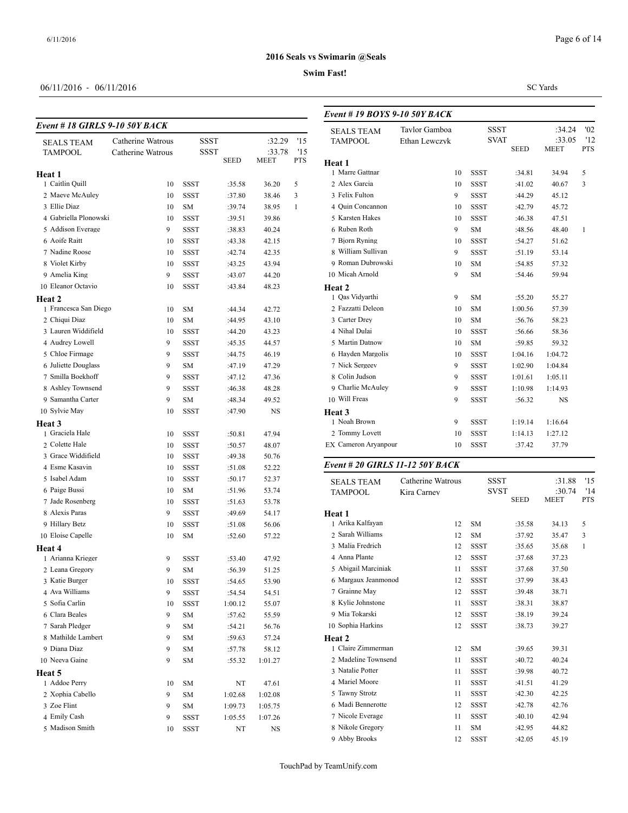# **Swim Fast!**

# 06/11/2016 - 06/11/2016

# *Event # 18 GIRLS 9-10 50Y BACK*

| SEALS TEAM            | Catherine Watrous |             | SSST        | :32.29      | '15        | <b>PEULO LEUM</b><br>TAMPOOL |
|-----------------------|-------------------|-------------|-------------|-------------|------------|------------------------------|
| <b>TAMPOOL</b>        | Catherine Watrous |             | <b>SSST</b> | :33.78      | '15        |                              |
|                       |                   |             | SEED        | <b>MEET</b> | <b>PTS</b> | Heat 1                       |
| Heat 1                |                   |             |             |             |            | 1 Marre Gattnar              |
| 1 Caitlin Quill       | 10                | SSST        | :35.58      | 36.20       | 5          | 2 Alex Garcia                |
| 2 Maeve McAuley       | 10                | SSST        | :37.80      | 38.46       | 3          | 3 Felix Fulton               |
| 3 Ellie Diaz          | 10                | SΜ          | :39.74      | 38.95       | 1          | 4 Quin Concannoi             |
| 4 Gabriella Plonowski | 10                | SSST        | :39.51      | 39.86       |            | 5 Karsten Hakes              |
| 5 Addison Everage     | 9                 | SSST        | :38.83      | 40.24       |            | 6 Ruben Roth                 |
| 6 Aoife Raitt         | 10                | SSST        | :43.38      | 42.15       |            | 7 Bjorn Ryning               |
| 7 Nadine Roose        | 10                | SSST        | :42.74      | 42.35       |            | 8 William Sullivar           |
| 8 Violet Kirby        | 10                | SSST        | :43.25      | 43.94       |            | 9 Roman Dubrow               |
| 9 Amelia King         | 9                 | SSST        | :43.07      | 44.20       |            | 10 Micah Arnold              |
| 10 Eleanor Octavio    | 10                | SSST        | :43.84      | 48.23       |            | Heat 2                       |
| Heat 2                |                   |             |             |             |            | 1 Qas Vidyarthi              |
| 1 Francesca San Diego | 10                | SΜ          | :44.34      | 42.72       |            | 2 Fazzatti Deleon            |
| 2 Chiqui Diaz         | 10                | SM          | :44.95      | 43.10       |            | 3 Carter Drey                |
| 3 Lauren Widdifield   | 10                | SSST        | :44.20      | 43.23       |            | 4 Nihal Dulai                |
| 4 Audrey Lowell       | 9                 | SSST        | :45.35      | 44.57       |            | 5 Martin Datnow              |
| 5 Chloe Firmage       | 9                 | <b>SSST</b> | :44.75      | 46.19       |            | 6 Hayden Margoli             |
| 6 Juliette Douglass   | 9                 | SМ          | :47.19      | 47.29       |            | 7 Nick Sergeev               |
| 7 Smilla Boekhoff     | 9                 | SSST        | :47.12      | 47.36       |            | 8 Colin Judson               |
| 8 Ashley Townsend     | 9                 | SSST        | :46.38      | 48.28       |            | 9 Charlie McAule             |
| 9 Samantha Carter     | 9                 | SМ          | :48.34      | 49.52       |            | 10 Will Freas                |
| 10 Sylvie May         | 10                | SSST        | :47.90      | NS          |            | Heat 3                       |
| Heat 3                |                   |             |             |             |            | 1 Noah Brown                 |
| 1 Graciela Hale       | 10                | SSST        | :50.81      | 47.94       |            | 2 Tommy Lovett               |
| 2 Colette Hale        | 10                | SSST        | :50.57      | 48.07       |            | EX Cameron Aryan             |
| 3 Grace Widdifield    | 10                | SSST        | :49.38      | 50.76       |            |                              |
| 4 Esme Kasavin        | 10                | SSST        | :51.08      | 52.22       |            | Event # 20 GIRI              |
| 5 Isabel Adam         | 10                | SSST        | :50.17      | 52.37       |            | <b>SEALS TEAM</b>            |
| 6 Paige Bussi         | 10                | SΜ          | :51.96      | 53.74       |            | TAMPOOL                      |
| 7 Jade Rosenberg      | 10                | SSST        | :51.63      | 53.78       |            |                              |
| 8 Alexis Paras        | 9                 | SSST        | :49.69      | 54.17       |            | Heat 1                       |
| 9 Hillary Betz        | 10                | SSST        | :51.08      | 56.06       |            | 1 Arika Kalfayan             |
| 10 Eloise Capelle     | 10                | SΜ          | :52.60      | 57.22       |            | 2 Sarah Williams             |
| Heat 4                |                   |             |             |             |            | 3 Malia Fredrich             |
| 1 Arianna Krieger     | 9                 | SSST        | :53.40      | 47.92       |            | 4 Anna Plante                |
| 2 Leana Gregory       | 9                 | SM          | :56.39      | 51.25       |            | 5 Abigail Marcini            |
| 3 Katie Burger        | 10                | SSST        | :54.65      | 53.90       |            | 6 Margaux Jeanm              |
| 4 Ava Williams        | 9                 | SSST        | :54.54      | 54.51       |            | 7 Grainne May                |
| 5 Sofia Carlin        | 10                | SSST        | 1:00.12     | 55.07       |            | 8 Kylie Johnstone            |
| 6 Clara Beales        | 9                 | SΜ          | :57.62      | 55.59       |            | 9 Mia Tokarski               |
| 7 Sarah Pledger       | 9                 | SΜ          | :54.21      | 56.76       |            | 10 Sophia Harkins            |
| 8 Mathilde Lambert    | 9                 | SM          | :59.63      | 57.24       |            | Heat 2                       |
| 9 Diana Diaz          | 9                 | SΜ          | :57.78      | 58.12       |            | 1 Claire Zimmern             |
| 10 Neeva Gaine        | 9                 | SΜ          | :55.32      | 1:01.27     |            | 2 Madeline Towns             |
| Heat 5                |                   |             |             |             |            | 3 Natalie Potter             |
| 1 Addoe Perry         | 10                | SΜ          | NT          | 47.61       |            | 4 Mariel Moore               |
| 2 Xophia Cabello      | 9                 | SΜ          | 1:02.68     | 1:02.08     |            | 5 Tawny Strotz               |
| 3 Zoe Flint           | 9                 | SΜ          | 1:09.73     | 1:05.75     |            | 6 Madi Bennerotto            |
| 4 Emily Cash          | 9                 | SSST        | 1:05.55     | 1:07.26     |            | 7 Nicole Everage             |
| 5 Madison Smith       | 10                | SSST        | NT          | NS          |            | 8 Nikole Gregory             |
|                       |                   |             |             |             |            |                              |

#### SC Yards

| Event # 19 BOYS 9-10 50Y BACK |               |             |                            |                       |                   |  |  |  |
|-------------------------------|---------------|-------------|----------------------------|-----------------------|-------------------|--|--|--|
| <b>SEALS TEAM</b>             | Taylor Gamboa |             | <b>SSST</b>                | :34.24                | '02               |  |  |  |
| <b>TAMPOOL</b>                | Ethan Lewczyk |             | <b>SVAT</b><br><b>SEED</b> | :33.05<br><b>MEET</b> | '12<br><b>PTS</b> |  |  |  |
| Heat 1                        |               |             |                            |                       |                   |  |  |  |
| 1 Marre Gattnar               | 10            | <b>SSST</b> | :34.81                     | 34.94                 | 5                 |  |  |  |
| 2 Alex Garcia                 | 10            | <b>SSST</b> | :41.02                     | 40.67                 | 3                 |  |  |  |
| 3 Felix Fulton                | 9             | <b>SSST</b> | :44.29                     | 45.12                 |                   |  |  |  |
| 4 Ouin Concannon              | 10            | <b>SSST</b> | :42.79                     | 45.72                 |                   |  |  |  |
| 5 Karsten Hakes               | 10            | <b>SSST</b> | :46.38                     | 47.51                 |                   |  |  |  |
| 6 Ruben Roth                  | 9             | <b>SM</b>   | :48.56                     | 48.40                 | $\mathbf{1}$      |  |  |  |
| 7 Bjorn Ryning                | 10            | <b>SSST</b> | :54.27                     | 51.62                 |                   |  |  |  |
| 8 William Sullivan            | 9             | <b>SSST</b> | :51.19                     | 53.14                 |                   |  |  |  |
| 9 Roman Dubrowski             | 10            | <b>SM</b>   | :54.85                     | 57.32                 |                   |  |  |  |
| 10 Micah Arnold               | 9             | <b>SM</b>   | :54.46                     | 59.94                 |                   |  |  |  |
| Heat 2                        |               |             |                            |                       |                   |  |  |  |
| 1 Qas Vidyarthi               | 9             | <b>SM</b>   | :55.20                     | 55.27                 |                   |  |  |  |
| 2 Fazzatti Deleon             | 10            | <b>SM</b>   | 1:00.56                    | 57.39                 |                   |  |  |  |
| 3 Carter Drey                 | 10            | <b>SM</b>   | :56.76                     | 58.23                 |                   |  |  |  |
| 4 Nihal Dulai                 | 10            | <b>SSST</b> | :56.66                     | 58.36                 |                   |  |  |  |
| 5 Martin Datnow               | 10            | <b>SM</b>   | :59.85                     | 59.32                 |                   |  |  |  |
| 6 Hayden Margolis             | 10            | <b>SSST</b> | 1:04.16                    | 1:04.72               |                   |  |  |  |
| 7 Nick Sergeev                | 9             | <b>SSST</b> | 1:02.90                    | 1:04.84               |                   |  |  |  |
| 8 Colin Judson                | 9             | <b>SSST</b> | 1:01.61                    | 1:05.11               |                   |  |  |  |
| 9 Charlie McAuley             | 9             | <b>SSST</b> | 1:10.98                    | 1:14.93               |                   |  |  |  |
| 10 Will Freas                 | 9             | <b>SSST</b> | :56.32                     | $_{\rm NS}$           |                   |  |  |  |
| Heat 3                        |               |             |                            |                       |                   |  |  |  |
| 1 Noah Brown                  | 9             | <b>SSST</b> | 1:19.14                    | 1:16.64               |                   |  |  |  |
| 2 Tommy Lovett                | 10            | <b>SSST</b> | 1:14.13                    | 1:27.12               |                   |  |  |  |
| EX Cameron Aryanpour          | 10            | <b>SSST</b> | :37.42                     | 37.79                 |                   |  |  |  |

#### *Event # 20 GIRLS 11-12 50Y BACK*

|        | <b>SEALS TEAM</b>   | Catherine Watrous |             | <b>SSST</b> | :31.88      | '15        |  |
|--------|---------------------|-------------------|-------------|-------------|-------------|------------|--|
|        | <b>TAMPOOL</b>      | Kira Carney       |             | <b>SVST</b> | :30.74      | '14        |  |
|        |                     |                   |             | <b>SEED</b> | <b>MEET</b> | <b>PTS</b> |  |
| Heat 1 |                     |                   |             |             |             |            |  |
|        | 1 Arika Kalfayan    | 12                | <b>SM</b>   | :35.58      | 34.13       | 5          |  |
|        | 2 Sarah Williams    | 12                | <b>SM</b>   | :37.92      | 35.47       | 3          |  |
|        | 3 Malia Fredrich    | 12                | <b>SSST</b> | :35.65      | 35.68       | 1          |  |
|        | 4 Anna Plante       | 12                | <b>SSST</b> | :37.68      | 37.23       |            |  |
|        | 5 Abigail Marciniak | 11                | <b>SSST</b> | :37.68      | 37.50       |            |  |
|        | 6 Margaux Jeanmonod | 12                | <b>SSST</b> | :37.99      | 38.43       |            |  |
|        | 7 Grainne May       | 12                | <b>SSST</b> | :39.48      | 38.71       |            |  |
|        | 8 Kylie Johnstone   | 11                | <b>SSST</b> | :38.31      | 38.87       |            |  |
|        | 9 Mia Tokarski      | 12                | <b>SSST</b> | :38.19      | 39.24       |            |  |
|        | 10 Sophia Harkins   | 12                | <b>SSST</b> | :38.73      | 39.27       |            |  |
| Heat 2 |                     |                   |             |             |             |            |  |
|        | 1 Claire Zimmerman  | 12                | <b>SM</b>   | :39.65      | 39.31       |            |  |
|        | 2 Madeline Townsend | 11                | <b>SSST</b> | :40.72      | 40.24       |            |  |
|        | 3 Natalie Potter    | 11                | <b>SSST</b> | :39.98      | 40.72       |            |  |
|        | 4 Mariel Moore      | 11                | <b>SSST</b> | :41.51      | 41.29       |            |  |
|        | 5 Tawny Strotz      | 11                | <b>SSST</b> | :42.30      | 42.25       |            |  |
|        | 6 Madi Bennerotte   | 12                | <b>SSST</b> | :42.78      | 42.76       |            |  |
|        | 7 Nicole Everage    | 11                | <b>SSST</b> | :40.10      | 42.94       |            |  |
|        | 8 Nikole Gregory    | 11                | <b>SM</b>   | :42.95      | 44.82       |            |  |
|        | 9 Abby Brooks       | 12                | <b>SSST</b> | :42.05      | 45.19       |            |  |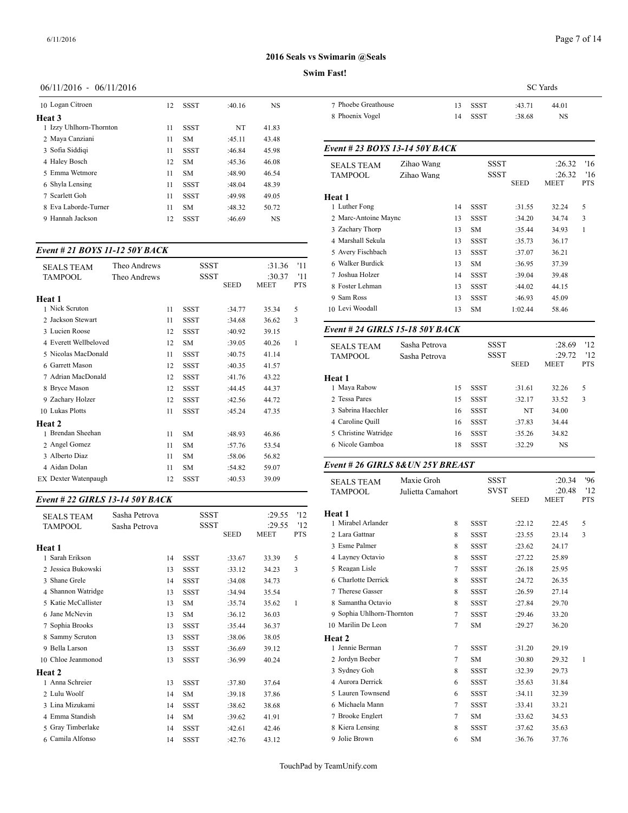#### **Swim Fast!**

#### 06/11/2016 - 06/11/2016

| 10 Logan Citroen        | 12 | <b>SSST</b> | :40.16    | <b>NS</b> | 7 Phoeb           |
|-------------------------|----|-------------|-----------|-----------|-------------------|
| Heat 3                  |    |             |           |           | 8 Phoen           |
| 1 Izzy Uhlhorn-Thornton | 11 | <b>SSST</b> | <b>NT</b> | 41.83     |                   |
| 2 Maya Canziani         | 11 | SM.         | :45.11    | 43.48     |                   |
| 3 Sofia Siddigi         | 11 | <b>SSST</b> | :46.84    | 45.98     | Event # $\lambda$ |
| 4 Haley Bosch           | 12 | SM.         | :45.36    | 46.08     | <b>SEALS</b>      |
| 5 Emma Wetmore          | 11 | SM.         | :48.90    | 46.54     | <b>TAMPC</b>      |
| 6 Shyla Lensing         | 11 | <b>SSST</b> | :48.04    | 48.39     |                   |
| 7 Scarlett Goh          | 11 | <b>SSST</b> | :49.98    | 49.05     | Heat 1            |
| 8 Eva Laborde-Turner    | 11 | SM.         | :48.32    | 50.72     | 1 Luther          |
| 9 Hannah Jackson        | 12 | <b>SSST</b> | :46.69    | <b>NS</b> | 2 Marc-           |
|                         |    |             |           |           |                   |

#### *Event # 21 BOYS 11-12 50Y BACK*

| <b>SEALS TEAM</b><br>TAMPOOL | Theo Andrews<br>Theo Andrews |    | SSST<br><b>SSST</b> | <b>SEED</b> | :31.36<br>:30.37<br><b>MEET</b> | '11<br>'11<br><b>PTS</b> | 6 Walker Burdick<br>7 Joshua Holzer<br>8 Foster Lehman |
|------------------------------|------------------------------|----|---------------------|-------------|---------------------------------|--------------------------|--------------------------------------------------------|
| Heat 1                       |                              |    |                     |             |                                 |                          | 9 Sam Ross                                             |
| 1 Nick Scruton               |                              | 11 | <b>SSST</b>         | :34.77      | 35.34                           | 5                        | 10 Levi Woodall                                        |
| 2 Jackson Stewart            |                              | 11 | <b>SSST</b>         | :34.68      | 36.62                           | 3                        |                                                        |
| 3 Lucien Roose               |                              | 12 | <b>SSST</b>         | :40.92      | 39.15                           |                          | Event # 24 GIRI                                        |
| 4 Everett Wellbeloved        |                              | 12 | <b>SM</b>           | :39.05      | 40.26                           | 1                        | <b>SEALS TEAM</b>                                      |
| 5 Nicolas MacDonald          |                              | 11 | <b>SSST</b>         | :40.75      | 41.14                           |                          | <b>TAMPOOL</b>                                         |
| 6 Garrett Mason              |                              | 12 | <b>SSST</b>         | :40.35      | 41.57                           |                          |                                                        |
| 7 Adrian MacDonald           |                              | 12 | <b>SSST</b>         | :41.76      | 43.22                           |                          | Heat 1                                                 |
| 8 Bryce Mason                |                              | 12 | <b>SSST</b>         | :44.45      | 44.37                           |                          | 1 Maya Rabow                                           |
| 9 Zachary Holzer             |                              | 12 | <b>SSST</b>         | :42.56      | 44.72                           |                          | 2 Tessa Pares                                          |
| 10 Lukas Plotts              |                              | 11 | <b>SSST</b>         | :45.24      | 47.35                           |                          | 3 Sabrina Haechle                                      |
| Heat 2                       |                              |    |                     |             |                                 |                          | 4 Caroline Quill                                       |
| 1 Brendan Sheehan            |                              | 11 | <b>SM</b>           | :48.93      | 46.86                           |                          | 5 Christine Watrid                                     |
| 2 Angel Gomez                |                              | 11 | <b>SM</b>           | :57.76      | 53.54                           |                          | 6 Nicole Gamboa                                        |
| 3 Alberto Diaz               |                              | 11 | <b>SM</b>           | :58.06      | 56.82                           |                          |                                                        |
| 4 Aidan Dolan                |                              | 11 | <b>SM</b>           | :54.82      | 59.07                           |                          | Event # 26 GIRI                                        |
| <b>EX</b> Dexter Watenpaugh  |                              | 12 | <b>SSST</b>         | :40.53      | 39.09                           |                          | <b>SEALS TEAM</b>                                      |

#### *Event # 22 GIRLS 13-14 50Y BACK*

| <b>SEALS TEAM</b>   | Sasha Petrova |    | SSST        |             | :29.55 | '12          | <b>Heat 1</b><br>1 Mirabel Arlande |
|---------------------|---------------|----|-------------|-------------|--------|--------------|------------------------------------|
| <b>TAMPOOL</b>      | Sasha Petrova |    | SSST        |             | :29.55 | 12           |                                    |
|                     |               |    |             | <b>SEED</b> | MEET   | <b>PTS</b>   | 2 Lara Gattnar                     |
| Heat 1              |               |    |             |             |        |              | 3 Esme Palmer                      |
| 1 Sarah Erikson     |               | 14 | <b>SSST</b> | :33.67      | 33.39  | 5            | 4 Layney Octavio                   |
| 2 Jessica Bukowski  |               | 13 | <b>SSST</b> | :33.12      | 34.23  | 3            | 5 Reagan Lisle                     |
| 3 Shane Grele       |               | 14 | <b>SSST</b> | :34.08      | 34.73  |              | 6 Charlotte Derric                 |
| 4 Shannon Watridge  |               | 13 | <b>SSST</b> | :34.94      | 35.54  |              | 7 Therese Gasser                   |
| 5 Katie McCallister |               | 13 | <b>SM</b>   | :35.74      | 35.62  | $\mathbf{1}$ | 8 Samantha Octav                   |
| 6 Jane McNevin      |               | 13 | <b>SM</b>   | :36.12      | 36.03  |              | 9 Sophia Uhlhorn-                  |
| 7 Sophia Brooks     |               | 13 | <b>SSST</b> | :35.44      | 36.37  |              | 10 Marilin De Leor                 |
| 8 Sammy Scruton     |               | 13 | <b>SSST</b> | :38.06      | 38.05  |              | Heat 2                             |
| 9 Bella Larson      |               | 13 | <b>SSST</b> | :36.69      | 39.12  |              | 1 Jennie Berman                    |
| 10 Chloe Jeanmonod  |               | 13 | <b>SSST</b> | :36.99      | 40.24  |              | 2 Jordyn Beeber                    |
| Heat 2              |               |    |             |             |        |              | 3 Sydney Goh                       |
| 1 Anna Schreier     |               | 13 | <b>SSST</b> | :37.80      | 37.64  |              | 4 Aurora Derrick                   |
| 2 Lulu Woolf        |               | 14 | <b>SM</b>   | :39.18      | 37.86  |              | 5 Lauren Townser                   |
| 3 Lina Mizukami     |               | 14 | <b>SSST</b> | :38.62      | 38.68  |              | 6 Michaela Mann                    |
| 4 Emma Standish     |               | 14 | <b>SM</b>   | :39.62      | 41.91  |              | 7 Brooke Englert                   |
| 5 Gray Timberlake   |               | 14 | SSST        | :42.61      | 42.46  |              | 8 Kiera Lensing                    |
| 6 Camila Alfonso    |               | 14 | <b>SSST</b> | :42.76      | 43.12  |              | 9 Jolie Brown                      |

| 7 Phoebe Greathouse<br>SSST<br>:43.71<br>44.01<br>13 |
|------------------------------------------------------|
| 8 Phoenix Vogel<br>NS<br>SSST<br>:38.68<br>14        |

#### *Event # 23 BOYS 13-14 50Y BACK*

| <b>SEALS TEAM</b>    | Zihao Wang |    | <b>SSST</b> |             | :26.32 | '16        |
|----------------------|------------|----|-------------|-------------|--------|------------|
| <b>TAMPOOL</b>       | Zihao Wang |    | <b>SSST</b> |             | :26.32 | 16         |
|                      |            |    |             | <b>SEED</b> | MEET   | <b>PTS</b> |
| Heat 1               |            |    |             |             |        |            |
| 1 Luther Fong        |            | 14 | SSST        | :31.55      | 32.24  | 5          |
| 2 Marc-Antoine Maync |            | 13 | <b>SSST</b> | :34.20      | 34.74  | 3          |
| 3 Zachary Thorp      |            | 13 | SM.         | :35.44      | 34.93  | 1          |
| 4 Marshall Sekula    |            | 13 | <b>SSST</b> | :35.73      | 36.17  |            |
| 5 Avery Fischbach    |            | 13 | SSST        | :37.07      | 36.21  |            |
| 6 Walker Burdick     |            | 13 | SM.         | :36.95      | 37.39  |            |
| 7 Joshua Holzer      |            | 14 | <b>SSST</b> | :39.04      | 39.48  |            |
| 8 Foster Lehman      |            | 13 | <b>SSST</b> | :44.02      | 44.15  |            |
| 9 Sam Ross           |            | 13 | <b>SSST</b> | :46.93      | 45.09  |            |
| 10 Levi Woodall      |            | 13 | <b>SM</b>   | 1:02.44     | 58.46  |            |
|                      |            |    |             |             |        |            |

# *Event # 24 GIRLS 15-18 50Y BACK*

| <b>SEALS TEAM</b><br><b>TAMPOOL</b> | Sasha Petrova<br>Sasha Petrova | SSST<br><b>SSST</b><br><b>SEED</b> |             | :28.69<br>:29.72<br><b>MEET</b> | '12<br>'12<br><b>PTS</b> |   |
|-------------------------------------|--------------------------------|------------------------------------|-------------|---------------------------------|--------------------------|---|
| Heat 1                              |                                |                                    |             |                                 |                          |   |
| 1 Maya Rabow                        |                                | 15                                 | <b>SSST</b> | :31.61                          | 32.26                    | 5 |
| 2 Tessa Pares                       |                                | 15                                 | <b>SSST</b> | :32.17                          | 33.52                    | 3 |
| 3 Sabrina Haechler                  |                                | 16                                 | <b>SSST</b> | NT                              | 34.00                    |   |
| 4 Caroline Quill                    |                                | 16                                 | <b>SSST</b> | :37.83                          | 34.44                    |   |
| 5 Christine Watridge                |                                | 16                                 | <b>SSST</b> | :35.26                          | 34.82                    |   |
| 6 Nicole Gamboa                     |                                | 18                                 | <b>SSST</b> | :32.29                          | NS                       |   |
|                                     |                                |                                    |             |                                 |                          |   |

# *Event # 26 GIRLS 8&UN 25Y BREAST*

| <b>SEALS TEAM</b><br><b>TAMPOOL</b> | Maxie Groh<br>Julietta Camahort |             | <b>SSST</b><br><b>SVST</b><br><b>SEED</b> | :20.34<br>:20.48<br><b>MEET</b> | 96<br>12<br><b>PTS</b> |  |
|-------------------------------------|---------------------------------|-------------|-------------------------------------------|---------------------------------|------------------------|--|
| Heat 1                              |                                 |             |                                           |                                 |                        |  |
| 1 Mirabel Arlander                  | 8                               | <b>SSST</b> | :22.12                                    | 22.45                           | 5                      |  |
| 2 Lara Gattnar                      | 8                               | <b>SSST</b> | :23.55                                    | 23.14                           | 3                      |  |
| 3 Esme Palmer                       | 8                               | <b>SSST</b> | :23.62                                    | 24.17                           |                        |  |
| 4 Layney Octavio                    | 8                               | <b>SSST</b> | :27.22                                    | 25.89                           |                        |  |
| 5 Reagan Lisle                      | $\tau$                          | <b>SSST</b> | :26.18                                    | 25.95                           |                        |  |
| 6 Charlotte Derrick                 | 8                               | <b>SSST</b> | :24.72                                    | 26.35                           |                        |  |
| 7 Therese Gasser                    | 8                               | <b>SSST</b> | :26.59                                    | 27.14                           |                        |  |
| 8 Samantha Octavio                  | 8                               | <b>SSST</b> | :27.84                                    | 29.70                           |                        |  |
| 9 Sophia Uhlhorn-Thornton           | $\tau$                          | <b>SSST</b> | :29.46                                    | 33.20                           |                        |  |
| 10 Marilin De Leon                  | 7                               | <b>SM</b>   | :29.27                                    | 36.20                           |                        |  |
| Heat 2                              |                                 |             |                                           |                                 |                        |  |
| 1 Jennie Berman                     | 7                               | <b>SSST</b> | :31.20                                    | 29.19                           |                        |  |
| 2 Jordyn Beeber                     | 7                               | <b>SM</b>   | :30.80                                    | 29.32                           | 1                      |  |
| 3 Sydney Goh                        | 8                               | <b>SSST</b> | :32.39                                    | 29.73                           |                        |  |
| 4 Aurora Derrick                    | 6                               | <b>SSST</b> | :35.63                                    | 31.84                           |                        |  |
| 5 Lauren Townsend                   | 6                               | <b>SSST</b> | :34.11                                    | 32.39                           |                        |  |
| 6 Michaela Mann                     | $\tau$                          | <b>SSST</b> | :33.41                                    | 33.21                           |                        |  |
| 7 Brooke Englert                    | 7                               | <b>SM</b>   | :33.62                                    | 34.53                           |                        |  |
| 8 Kiera Lensing                     | 8                               | <b>SSST</b> | :37.62                                    | 35.63                           |                        |  |
| 9 Jolie Brown                       | 6                               | <b>SM</b>   | :36.76                                    | 37.76                           |                        |  |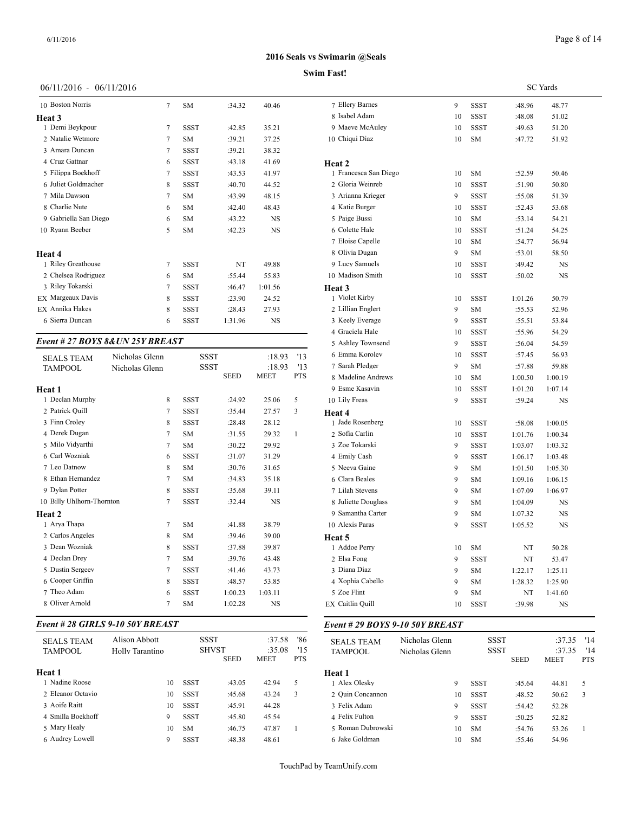# 06/11/2016 - 06/11/2016

| 10 Boston Norris       | 7 | <b>SM</b>   | :34.32  | 40.46     | 7 Ellery  |
|------------------------|---|-------------|---------|-----------|-----------|
| Heat 3                 |   |             |         |           | 8 Isabel  |
| 1 Demi Beykpour        | 7 | <b>SSST</b> | :42.85  | 35.21     | 9 Maeve   |
| 2 Natalie Wetmore      | 7 | <b>SM</b>   | :39.21  | 37.25     | 10 Chiqui |
| 3 Amara Duncan         | 7 | <b>SSST</b> | :39.21  | 38.32     |           |
| 4 Cruz Gattnar         | 6 | <b>SSST</b> | :43.18  | 41.69     | Heat 2    |
| 5 Filippa Boekhoff     | 7 | <b>SSST</b> | :43.53  | 41.97     | 1 France  |
| 6 Juliet Goldmacher    | 8 | <b>SSST</b> | :40.70  | 44.52     | 2 Gloria  |
| 7 Mila Dawson          | 7 | <b>SM</b>   | :43.99  | 48.15     | 3 Ariann  |
| 8 Charlie Nute         | 6 | <b>SM</b>   | :42.40  | 48.43     | 4 Katie l |
| 9 Gabriella San Diego  | 6 | <b>SM</b>   | :43.22  | <b>NS</b> | 5 Paige   |
| 10 Rvann Beeber        | 5 | <b>SM</b>   | :42.23  | <b>NS</b> | 6 Colett  |
|                        |   |             |         |           | 7 Eloise  |
| Heat 4                 |   |             |         |           | 8 Olivia  |
| 1 Riley Greathouse     | 7 | <b>SSST</b> | NT      | 49.88     | 9 Lucy 9  |
| 2 Chelsea Rodriguez    | 6 | <b>SM</b>   | :55.44  | 55.83     | 10 Madis  |
| 3 Riley Tokarski       | 7 | <b>SSST</b> | :46.47  | 1:01.56   | Heat 3    |
| EX Margeaux Davis      | 8 | <b>SSST</b> | :23.90  | 24.52     | 1 Violet  |
| <b>EX</b> Annika Hakes | 8 | <b>SSST</b> | :28.43  | 27.93     | 2 Lillian |
| 6 Sierra Duncan        | 6 | <b>SSST</b> | 1:31.96 | <b>NS</b> | 3 Keely   |
|                        |   |             |         |           | 4 Gracie  |

#### *Event # 27 BOYS 8&UN 25Y BREAST*

| <b>SEALS TEAM</b>         | Nicholas Glenn | <b>SSST</b> |             | :18.93      | '13        | 6 Emma Korolev      | 10 | <b>SSST</b> | :57.45  | 56.93       |  |
|---------------------------|----------------|-------------|-------------|-------------|------------|---------------------|----|-------------|---------|-------------|--|
| <b>TAMPOOL</b>            | Nicholas Glenn | <b>SSST</b> |             | :18.93      | '13        | 7 Sarah Pledger     | 9  | <b>SM</b>   | :57.88  | 59.88       |  |
|                           |                |             | <b>SEED</b> | <b>MEET</b> | <b>PTS</b> | 8 Madeline Andrews  | 10 | <b>SM</b>   | 1:00.50 | 1:00.19     |  |
| Heat 1                    |                |             |             |             |            | 9 Esme Kasavin      | 10 | <b>SSST</b> | 1:01.20 | 1:07.14     |  |
| 1 Declan Murphy           | 8              | <b>SSST</b> | :24.92      | 25.06       | 5          | 10 Lily Freas       | 9  | <b>SSST</b> | :59.24  | $_{\rm NS}$ |  |
| 2 Patrick Quill           |                | <b>SSST</b> | :35.44      | 27.57       | 3          | Heat 4              |    |             |         |             |  |
| 3 Finn Croley             | 8              | <b>SSST</b> | :28.48      | 28.12       |            | 1 Jade Rosenberg    | 10 | <b>SSST</b> | :58.08  | 1:00.05     |  |
| 4 Derek Dugan             |                | <b>SM</b>   | :31.55      | 29.32       |            | 2 Sofia Carlin      | 10 | <b>SSST</b> | 1:01.76 | 1:00.34     |  |
| 5 Milo Vidyarthi          |                | <b>SM</b>   | :30.22      | 29.92       |            | 3 Zoe Tokarski      | 9  | <b>SSST</b> | 1:03.07 | 1:03.32     |  |
| 6 Carl Wozniak            | 6              | <b>SSST</b> | :31.07      | 31.29       |            | 4 Emily Cash        | 9  | <b>SSST</b> | 1:06.17 | 1:03.48     |  |
| 7 Leo Datnow              | 8              | <b>SM</b>   | :30.76      | 31.65       |            | 5 Neeva Gaine       | 9  | <b>SM</b>   | 1:01.50 | 1:05.30     |  |
| 8 Ethan Hernandez         |                | <b>SM</b>   | :34.83      | 35.18       |            | 6 Clara Beales      | 9  | <b>SM</b>   | 1:09.16 | 1:06.15     |  |
| 9 Dylan Potter            | 8              | <b>SSST</b> | :35.68      | 39.11       |            | 7 Lilah Stevens     | 9  | <b>SM</b>   | 1:07.09 | 1:06.97     |  |
| 10 Billy Uhlhorn-Thornton |                | <b>SSST</b> | :32.44      | <b>NS</b>   |            | 8 Juliette Douglass | 9  | <b>SM</b>   | 1:04.09 | <b>NS</b>   |  |
| Heat 2                    |                |             |             |             |            | 9 Samantha Carter   | 9  | <b>SM</b>   | 1:07.32 | <b>NS</b>   |  |
| 1 Arya Thapa              |                | <b>SM</b>   | :41.88      | 38.79       |            | 10 Alexis Paras     | 9  | <b>SSST</b> | 1:05.52 | <b>NS</b>   |  |
| 2 Carlos Angeles          | 8              | <b>SM</b>   | :39.46      | 39.00       |            | Heat 5              |    |             |         |             |  |
| 3 Dean Wozniak            | 8              | <b>SSST</b> | :37.88      | 39.87       |            | 1 Addoe Perry       | 10 | <b>SM</b>   | NT      | 50.28       |  |
| 4 Declan Drey             |                | <b>SM</b>   | :39.76      | 43.48       |            | 2 Elsa Fong         | 9  | <b>SSST</b> | NT      | 53.47       |  |
| 5 Dustin Sergeev          |                | <b>SSST</b> | :41.46      | 43.73       |            | 3 Diana Diaz        | 9  | <b>SM</b>   | 1:22.17 | 1:25.11     |  |
| 6 Cooper Griffin          | 8              | <b>SSST</b> | :48.57      | 53.85       |            | 4 Xophia Cabello    | 9  | <b>SM</b>   | 1:28.32 | 1:25.90     |  |
| 7 Theo Adam               | 6              | <b>SSST</b> | 1:00.23     | 1:03.11     |            | 5 Zoe Flint         | 9  | <b>SM</b>   | NT      | 1:41.60     |  |
| 8 Oliver Arnold           |                | <b>SM</b>   | 1:02.28     | <b>NS</b>   |            | EX Caitlin Quill    | 10 | SSST        | :39.98  | NS          |  |
|                           |                |             |             |             |            |                     |    |             |         |             |  |

# *Event # 28 GIRLS 9-10 50Y BREAST*

| <b>SEALS TEAM</b><br><b>TAMPOOL</b> | Alison Abbott<br>Holly Tarantino | <b>SSST</b> | <b>SHVST</b><br><b>SEED</b> | :37.58<br>:35.08<br><b>MEET</b> | '86<br>15<br><b>PTS</b> | <b>SEALS TEAM</b><br>TAMPOOL |
|-------------------------------------|----------------------------------|-------------|-----------------------------|---------------------------------|-------------------------|------------------------------|
| Heat 1                              |                                  |             |                             |                                 |                         | Heat 1                       |
| 1 Nadine Roose                      | 10                               | <b>SSST</b> | :43.05                      | 42.94                           | 5                       | 1 Alex Olesky                |
| 2 Eleanor Octavio                   | 10                               | <b>SSST</b> | :45.68                      | 43.24                           | 3                       | 2 Ouin Concanno              |
| 3 Aoife Raitt                       | 10                               | <b>SSST</b> | :45.91                      | 44.28                           |                         | 3 Felix Adam                 |
| 4 Smilla Boekhoff                   | 9                                | <b>SSST</b> | :45.80                      | 45.54                           |                         | 4 Felix Fulton               |
| 5 Mary Healy                        | 10                               | <b>SM</b>   | :46.75                      | 47.87                           |                         | 5 Roman Dubrow               |
| 6 Audrey Lowell                     | 9                                | <b>SSST</b> | :48.38                      | 48.61                           |                         | 6 Jake Goldman               |
|                                     |                                  |             |                             |                                 |                         |                              |

|   | <b>Swim Fast!</b>     |    |             |         |                 |
|---|-----------------------|----|-------------|---------|-----------------|
|   |                       |    |             |         | <b>SC</b> Yards |
|   | 7 Ellery Barnes       | 9  | <b>SSST</b> | :48.96  | 48.77           |
|   | 8 Isabel Adam         | 10 | SSST        | :48.08  | 51.02           |
|   | 9 Maeve McAuley       | 10 | <b>SSST</b> | :49.63  | 51.20           |
|   | 10 Chiqui Diaz        | 10 | SM          | :47.72  | 51.92           |
|   | Heat 2                |    |             |         |                 |
|   | 1 Francesca San Diego | 10 | <b>SM</b>   | :52.59  | 50.46           |
|   | 2 Gloria Weinreb      | 10 | <b>SSST</b> | :51.90  | 50.80           |
|   | 3 Arianna Krieger     | 9  | SSST        | :55.08  | 51.39           |
|   | 4 Katie Burger        | 10 | <b>SSST</b> | :52.43  | 53.68           |
|   | 5 Paige Bussi         | 10 | SM          | : 53.14 | 54.21           |
|   | 6 Colette Hale        | 10 | <b>SSST</b> | :51.24  | 54.25           |
|   | 7 Eloise Capelle      | 10 | <b>SM</b>   | :54.77  | 56.94           |
|   | 8 Olivia Dugan        | 9  | <b>SM</b>   | :53.01  | 58.50           |
|   | 9 Lucy Samuels        | 10 | <b>SSST</b> | :49.42  | NS              |
|   | 10 Madison Smith      | 10 | SSST        | :50.02  | NS              |
|   | Heat 3                |    |             |         |                 |
|   | 1 Violet Kirby        | 10 | <b>SSST</b> | 1:01.26 | 50.79           |
|   | 2 Lillian Englert     | 9  | <b>SM</b>   | :55.53  | 52.96           |
|   | 3 Keely Everage       | 9  | SSST        | :55.51  | 53.84           |
|   | 4 Graciela Hale       | 10 | SSST        | :55.96  | 54.29           |
|   | 5 Ashley Townsend     | 9  | SSST        | :56.04  | 54.59           |
|   | 6 Emma Korolev        | 10 | <b>SSST</b> | :57.45  | 56.93           |
| 3 | 7 Sarah Pledger       | 9  | <b>SM</b>   | :57.88  | 59.88           |
| S | 8 Madeline Andrews    | 10 | <b>SM</b>   | 1:00.50 | 1:00.19         |
|   | 9 Esme Kasavin        | 10 | SSST        | 1:01.20 | 1:07.14         |
|   | 10 Lily Freas         | 9  | SSST        | :59.24  | NS              |
|   | Heat 4                |    |             |         |                 |
|   | 1 Jade Rosenberg      | 10 | <b>SSST</b> | :58.08  | 1:00.05         |
|   | 2 Sofia Carlin        | 10 | SSST        | 1:01.76 | 1:00.34         |
|   | 3 Zoe Tokarski        | 9  | <b>SSST</b> | 1:03.07 | 1:03.32         |
|   | 4 Emily Cash          | 9  | SSST        | 1:06.17 | 1:03.48         |
|   | 5 Neeva Gaine         | 9  | SM          | 1:01.50 | 1:05.30         |
|   | 6 Clara Beales        | 9  | SM          | 1:09.16 | 1:06.15         |
|   | 7 Lilah Stevens       | 9  | SM          | 1:07.09 | 1:06.97         |
|   | 8 Juliette Douglass   | 9  | SM          | 1:04.09 | NS              |
|   | 9 Samantha Carter     | 9  | <b>SM</b>   | 1:07.32 | NS              |

#### SEALS TEAM Alison Abbott SSST :37.58 '86 SEALS TEAM Nicholas Glenn SSST :37.35 '14 TAMPOOL Nadine Roose 10 SSST :43.05 42.94 5 1 Alex Olesky 9 SSST :45.64 44.81 5 Eleanor Octavio 10 SSST :45.68 43.24 3 2 Quin Concannon 10 SSST :48.52 50.62 3 Mary Healy 10 SM :46.75 47.87 1 5 Roman Dubrowski 10 SM :54.76 53.26 1 *Event # 29 BOYS 9-10 50Y BREAST* Nicholas Glenn SSST :37.35 '14<br>SEED MEET PTS **MEET Heat 1** Felix Adam 9 SSST :54.42 52.28 4 Felix Fulton 9 SSST :50.25 52.82 Jake Goldman 10 SM :55.46 54.96

TouchPad by TeamUnify.com

**2016 Seals vs Swimarin @Seals**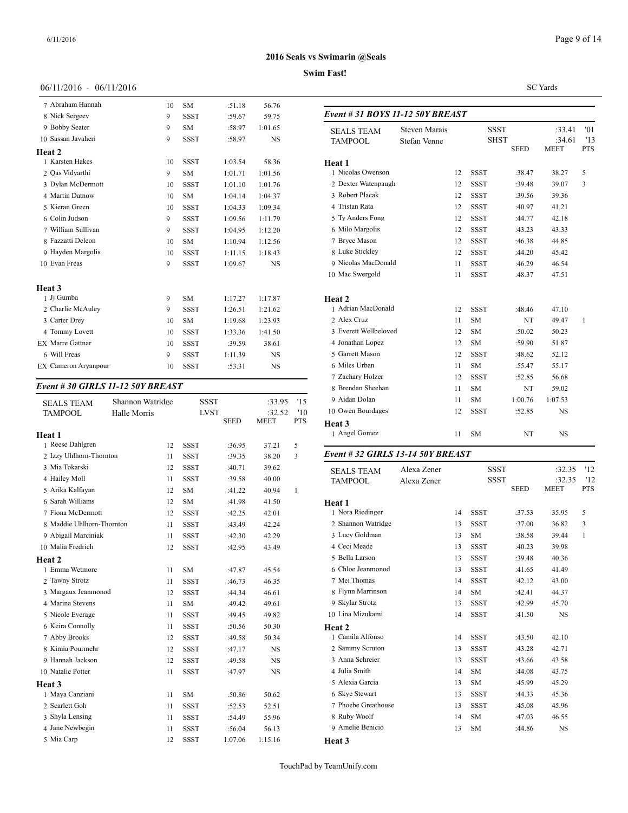# Page 9 of 14

# **2016 Seals vs Swimarin @Seals**

# **Swim Fast!**

SC Yards

| 06/11/2016 - 06/11/2016     |    |             |         |           |              |
|-----------------------------|----|-------------|---------|-----------|--------------|
| 7 Abraham Hannah            | 10 | <b>SM</b>   | :51.18  | 56.76     |              |
| 8 Nick Sergeev              | 9  | <b>SSST</b> | :59.67  | 59.75     | Event #.     |
| 9 Bobby Seater              | 9  | <b>SM</b>   | :58.97  | 1:01.65   | <b>SEALS</b> |
| 10 Sassan Javaheri          | 9  | <b>SSST</b> | :58.97  | <b>NS</b> | <b>TAMPC</b> |
| Heat 2                      |    |             |         |           |              |
| 1 Karsten Hakes             | 10 | <b>SSST</b> | 1:03.54 | 58.36     | Heat 1       |
| 2 Qas Vidyarthi             | 9  | <b>SM</b>   | 1:01.71 | 1:01.56   | 1 Nicola     |
| 3 Dylan McDermott           | 10 | <b>SSST</b> | 1:01.10 | 1:01.76   | 2 Dexter     |
| 4 Martin Datnow             | 10 | <b>SM</b>   | 1:04.14 | 1:04.37   | 3 Robert     |
| 5 Kieran Green              | 10 | <b>SSST</b> | 1:04.33 | 1:09.34   | 4 Tristar    |
| 6 Colin Judson              | 9  | <b>SSST</b> | 1:09.56 | 1:11.79   | 5 Ty An      |
| 7 William Sullivan          | 9  | <b>SSST</b> | 1:04.95 | 1:12.20   | 6 Milo N     |
| 8 Fazzatti Deleon           | 10 | <b>SM</b>   | 1:10.94 | 1:12.56   | 7 Bryce      |
| 9 Hayden Margolis           | 10 | <b>SSST</b> | 1:11.15 | 1:18.43   | 8 Luke 9     |
| 10 Evan Freas               | 9  | <b>SSST</b> | 1:09.67 | <b>NS</b> | 9 Nicola     |
|                             |    |             |         |           | 10 Mac S     |
| Heat 3                      |    |             |         |           |              |
| 1 Ji Gumba                  | 9  | <b>SM</b>   | 1:17.27 | 1:17.87   | Heat 2       |
| 2 Charlie McAuley           | 9  | <b>SSST</b> | 1:26.51 | 1:21.62   | 1 Adriar     |
| 3 Carter Drey               | 10 | <b>SM</b>   | 1:19.68 | 1:23.93   | 2 Alex O     |
| 4 Tommy Lovett              | 10 | <b>SSST</b> | 1:33.36 | 1:41.50   | 3 Everet     |
| <b>EX</b> Marre Gattnar     | 10 | <b>SSST</b> | :39.59  | 38.61     | 4 Jonath     |
| 6 Will Freas                | 9  | <b>SSST</b> | 1:11.39 | <b>NS</b> | 5 Garret     |
| <b>EX Cameron Aryanpour</b> | 10 | <b>SSST</b> | :53.31  | <b>NS</b> | 6 Miles      |

# *Event # 30 GIRLS 11-12 50Y BREAST*

| <b>SEALS TEAM</b>         | Shannon Watridge |             | <b>SSST</b> | :33.95      | '15        | 9 Aidan Dolan                     |             | 11 | <b>SM</b>   | 1:00.76     | 1:07.53     |
|---------------------------|------------------|-------------|-------------|-------------|------------|-----------------------------------|-------------|----|-------------|-------------|-------------|
| <b>TAMPOOL</b>            | Halle Morris     |             | <b>LVST</b> | :32.52      | '10        | 10 Owen Bourdages                 |             | 12 | <b>SSST</b> | :52.85      | <b>NS</b>   |
|                           |                  |             | <b>SEED</b> | <b>MEET</b> | <b>PTS</b> | Heat 3                            |             |    |             |             |             |
| Heat 1                    |                  |             |             |             |            | 1 Angel Gomez                     |             | 11 | <b>SM</b>   | NT          | <b>NS</b>   |
| 1 Reese Dahlgren          | 12               | <b>SSST</b> | :36.95      | 37.21       | 5          |                                   |             |    |             |             |             |
| 2 Izzy Uhlhorn-Thornton   | 11               | <b>SSST</b> | :39.35      | 38.20       | 3          | Event # 32 GIRLS 13-14 50Y BREAST |             |    |             |             |             |
| 3 Mia Tokarski            | 12               | <b>SSST</b> | :40.71      | 39.62       |            | <b>SEALS TEAM</b>                 | Alexa Zener |    | <b>SSST</b> |             | :32.35      |
| 4 Hailey Moll             | 11               | <b>SSST</b> | :39.58      | 40.00       |            | <b>TAMPOOL</b>                    | Alexa Zener |    | <b>SSST</b> |             | :32.35      |
| 5 Arika Kalfayan          | 12               | <b>SM</b>   | :41.22      | 40.94       | -1         |                                   |             |    |             | <b>SEED</b> | <b>MEET</b> |
| 6 Sarah Williams          | 12               | <b>SM</b>   | :41.98      | 41.50       |            | Heat 1                            |             |    |             |             |             |
| 7 Fiona McDermott         | 12               | <b>SSST</b> | :42.25      | 42.01       |            | 1 Nora Riedinger                  |             | 14 | <b>SSST</b> | :37.53      | 35.95       |
| 8 Maddie Uhlhorn-Thornton | 11               | <b>SSST</b> | :43.49      | 42.24       |            | 2 Shannon Watridge                |             | 13 | <b>SSST</b> | :37.00      | 36.82       |
| 9 Abigail Marciniak       | 11               | <b>SSST</b> | :42.30      | 42.29       |            | 3 Lucy Goldman                    |             | 13 | <b>SM</b>   | :38.58      | 39.44       |
| 10 Malia Fredrich         | 12               | <b>SSST</b> | :42.95      | 43.49       |            | 4 Ceci Meade                      |             | 13 | <b>SSST</b> | :40.23      | 39.98       |
| Heat 2                    |                  |             |             |             |            | 5 Bella Larson                    |             | 13 | <b>SSST</b> | :39.48      | 40.36       |
| 1 Emma Wetmore            | 11               | <b>SM</b>   | :47.87      | 45.54       |            | 6 Chloe Jeanmonod                 |             | 13 | <b>SSST</b> | :41.65      | 41.49       |
| 2 Tawny Strotz            | 11               | <b>SSST</b> | :46.73      | 46.35       |            | 7 Mei Thomas                      |             | 14 | <b>SSST</b> | :42.12      | 43.00       |
| 3 Margaux Jeanmonod       | 12               | <b>SSST</b> | :44.34      | 46.61       |            | 8 Flynn Marrinson                 |             | 14 | <b>SM</b>   | :42.41      | 44.37       |
| 4 Marina Stevens          | 11               | <b>SM</b>   | :49.42      | 49.61       |            | 9 Skylar Strotz                   |             | 13 | <b>SSST</b> | :42.99      | 45.70       |
| 5 Nicole Everage          | 11               | <b>SSST</b> | :49.45      | 49.82       |            | 10 Lina Mizukami                  |             | 14 | <b>SSST</b> | :41.50      | <b>NS</b>   |
| 6 Keira Connolly          | 11               | <b>SSST</b> | :50.56      | 50.30       |            | Heat 2                            |             |    |             |             |             |
| 7 Abby Brooks             | 12               | <b>SSST</b> | :49.58      | 50.34       |            | 1 Camila Alfonso                  |             | 14 | <b>SSST</b> | :43.50      | 42.10       |
| 8 Kimia Pourmehr          | 12               | <b>SSST</b> | :47.17      | <b>NS</b>   |            | 2 Sammy Scruton                   |             | 13 | <b>SSST</b> | :43.28      | 42.71       |
| 9 Hannah Jackson          | 12               | <b>SSST</b> | :49.58      | <b>NS</b>   |            | 3 Anna Schreier                   |             | 13 | <b>SSST</b> | :43.66      | 43.58       |
| 10 Natalie Potter         | 11               | <b>SSST</b> | :47.97      | <b>NS</b>   |            | 4 Julia Smith                     |             | 14 | <b>SM</b>   | :44.08      | 43.75       |
| Heat 3                    |                  |             |             |             |            | 5 Alexia Garcia                   |             | 13 | <b>SM</b>   | :45.99      | 45.29       |
| 1 Maya Canziani           | 11               | <b>SM</b>   | :50.86      | 50.62       |            | 6 Skye Stewart                    |             | 13 | <b>SSST</b> | :44.33      | 45.36       |
| 2 Scarlett Goh            | 11               | <b>SSST</b> | :52.53      | 52.51       |            | 7 Phoebe Greathouse               |             | 13 | <b>SSST</b> | :45.08      | 45.96       |
| 3 Shyla Lensing           | 11               | <b>SSST</b> | :54.49      | 55.96       |            | 8 Ruby Woolf                      |             | 14 | <b>SM</b>   | :47.03      | 46.55       |
| 4 Jane Newbegin           | 11               | <b>SSST</b> | :56.04      | 56.13       |            | 9 Amelie Benicio                  |             | 13 | <b>SM</b>   | :44.86      | <b>NS</b>   |
| 5 Mia Carp                | 12               | <b>SSST</b> | 1:07.06     | 1:15.16     |            | Heat 3                            |             |    |             |             |             |

| <b>SEALS TEAM</b>     | <b>Steven Marais</b> | <b>SSST</b> |             | :33.41                     | '01                   |                   |
|-----------------------|----------------------|-------------|-------------|----------------------------|-----------------------|-------------------|
| <b>TAMPOOL</b>        | Stefan Venne         |             |             | <b>SHST</b><br><b>SEED</b> | :34.61<br><b>MEET</b> | '13<br><b>PTS</b> |
| Heat 1                |                      |             |             |                            |                       |                   |
| 1 Nicolas Owenson     |                      | 12          | <b>SSST</b> | :38.47                     | 38.27                 | 5                 |
| 2 Dexter Watenpaugh   |                      | 12          | <b>SSST</b> | :39.48                     | 39.07                 | 3                 |
| 3 Robert Placak       |                      | 12          | <b>SSST</b> | :39.56                     | 39.36                 |                   |
| 4 Tristan Rata        |                      | 12          | <b>SSST</b> | :40.97                     | 41.21                 |                   |
| 5 Ty Anders Fong      |                      | 12          | <b>SSST</b> | :44.77                     | 42.18                 |                   |
| 6 Milo Margolis       |                      | 12          | <b>SSST</b> | :43.23                     | 43.33                 |                   |
| 7 Bryce Mason         |                      | 12          | <b>SSST</b> | :46.38                     | 44.85                 |                   |
| 8 Luke Stickley       |                      | 12          | <b>SSST</b> | :44.20                     | 45.42                 |                   |
| 9 Nicolas MacDonald   |                      | 11          | <b>SSST</b> | :46.29                     | 46.54                 |                   |
| 10 Mac Swergold       |                      | 11          | <b>SSST</b> | :48.37                     | 47.51                 |                   |
|                       |                      |             |             |                            |                       |                   |
| Heat 2                |                      |             |             |                            |                       |                   |
| 1 Adrian MacDonald    |                      | 12          | <b>SSST</b> | :48.46                     | 47.10                 |                   |
| 2 Alex Cruz           |                      | 11          | <b>SM</b>   | NT                         | 49.47                 | 1                 |
| 3 Everett Wellbeloved |                      | 12          | <b>SM</b>   | :50.02                     | 50.23                 |                   |
| 4 Jonathan Lopez      |                      | 12          | <b>SM</b>   | :59.90                     | 51.87                 |                   |
| 5 Garrett Mason       |                      | 12          | <b>SSST</b> | :48.62                     | 52.12                 |                   |
| 6 Miles Urban         |                      | 11          | <b>SM</b>   | :55.47                     | 55.17                 |                   |
| 7 Zacharv Holzer      |                      | 12          | <b>SSST</b> | :52.85                     | 56.68                 |                   |
| 8 Brendan Sheehan     |                      | 11          | <b>SM</b>   | NT                         | 59.02                 |                   |
| 9 Aidan Dolan         |                      | 11          | <b>SM</b>   | 1:00.76                    | 1:07.53               |                   |
| 10 Owen Bourdages     |                      | 12          | <b>SSST</b> | :52.85                     | <b>NS</b>             |                   |
| <b>Heat 3</b>         |                      |             |             |                            |                       |                   |
| 1 Angel Gomez         |                      | 11          | <b>SM</b>   | NT                         | <b>NS</b>             |                   |
|                       |                      |             |             |                            |                       |                   |

*Event # 31 BOYS 11-12 50Y BREAST*

| <b>SEALS TEAM</b><br><b>TAMPOOL</b> | Alexa Zener<br>Alexa Zener |    | <b>SSST</b><br><b>SSST</b> | <b>SEED</b> | :32.35<br>:32.35<br><b>MEET</b> | '12<br>'12<br><b>PTS</b> |
|-------------------------------------|----------------------------|----|----------------------------|-------------|---------------------------------|--------------------------|
| Heat 1                              |                            |    |                            |             |                                 |                          |
| 1 Nora Riedinger                    |                            | 14 | <b>SSST</b>                | :37.53      | 35.95                           | 5                        |
| 2 Shannon Watridge                  |                            | 13 | <b>SSST</b>                | :37.00      | 36.82                           | 3                        |
| 3 Lucy Goldman                      |                            | 13 | <b>SM</b>                  | :38.58      | 39.44                           | 1                        |
| 4 Ceci Meade                        |                            |    |                            |             |                                 |                          |
|                                     |                            | 13 | <b>SSST</b>                | :40.23      | 39.98                           |                          |
| 5 Bella Larson                      |                            | 13 | <b>SSST</b>                | :39.48      | 40.36                           |                          |
| 6 Chloe Jeanmonod                   |                            | 13 | <b>SSST</b>                | :41.65      | 41.49                           |                          |
| 7 Mei Thomas                        |                            | 14 | <b>SSST</b>                | :42.12      | 43.00                           |                          |
| 8 Flynn Marrinson                   |                            | 14 | <b>SM</b>                  | :42.41      | 44.37                           |                          |
| 9 Skylar Strotz                     |                            | 13 | <b>SSST</b>                | :42.99      | 45.70                           |                          |
| 10 Lina Mizukami                    |                            | 14 | <b>SSST</b>                | :41.50      | <b>NS</b>                       |                          |
| Heat 2                              |                            |    |                            |             |                                 |                          |
| 1 Camila Alfonso                    |                            | 14 | <b>SSST</b>                | :43.50      | 42.10                           |                          |
| 2 Sammy Scruton                     |                            | 13 | <b>SSST</b>                | :43.28      | 42.71                           |                          |
| 3 Anna Schreier                     |                            | 13 | <b>SSST</b>                | :43.66      | 43.58                           |                          |
| 4 Julia Smith                       |                            | 14 | <b>SM</b>                  | :44.08      | 43.75                           |                          |
| 5 Alexia Garcia                     |                            | 13 | <b>SM</b>                  | :45.99      | 45.29                           |                          |
| 6 Skye Stewart                      |                            | 13 | <b>SSST</b>                | :44.33      | 45.36                           |                          |
| 7 Phoebe Greathouse                 |                            | 13 | <b>SSST</b>                | :45.08      | 45.96                           |                          |
| 8 Ruby Woolf                        |                            | 14 | <b>SM</b>                  | :47.03      | 46.55                           |                          |
| 9 Amelie Benicio                    |                            |    |                            |             |                                 |                          |
|                                     |                            | 13 | <b>SM</b>                  | :44.86      | NS                              |                          |
| Heat 3                              |                            |    |                            |             |                                 |                          |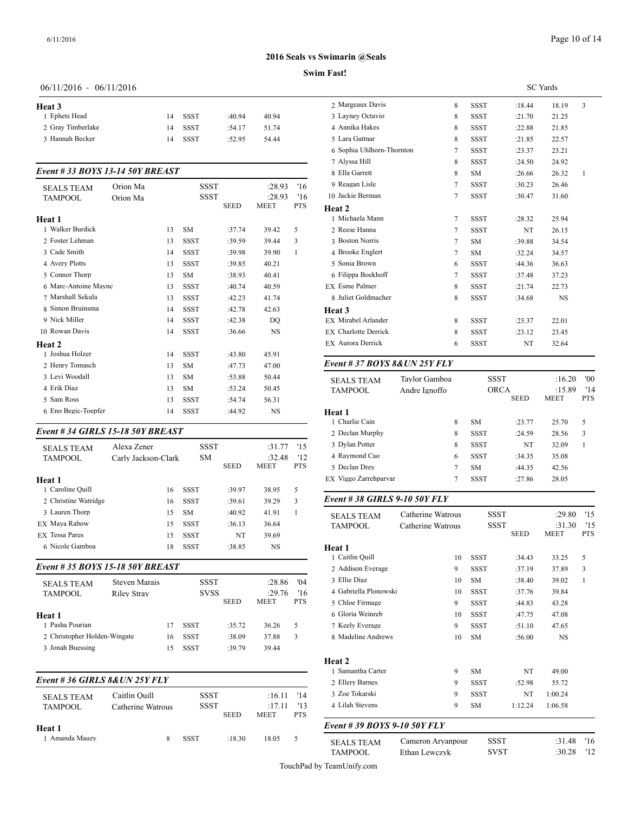#### **Swim Fast!**

# 06/11/2016 - 06/11/2016

| Heat 3            |    |      |        |       | 2 Ma                                     |
|-------------------|----|------|--------|-------|------------------------------------------|
| 1 Ephets Head     | 14 | SSST | :40.94 | 40.94 | 3 Lay                                    |
| 2 Gray Timberlake | 14 | SSST | :54.17 | 51.74 | 4 Ani                                    |
| 3 Hannah Becker   | 14 | SSST | :52.95 | 54.44 | 5 Lar                                    |
|                   |    |      |        |       | the contract of the contract of the con- |

# *Event # 33 BOYS 13-14 50Y BREAST*

| <b>SEALS TEAM</b>    | Orion Ma |    | SSST        |             | :28.93      | '16        | 9 Reagan Lisle             |
|----------------------|----------|----|-------------|-------------|-------------|------------|----------------------------|
| <b>TAMPOOL</b>       | Orion Ma |    | <b>SSST</b> |             | :28.93      | '16        | 10 Jackie Berman           |
|                      |          |    |             | <b>SEED</b> | <b>MEET</b> | <b>PTS</b> | Heat 2                     |
| <b>Heat 1</b>        |          |    |             |             |             |            | 1 Michaela Mann            |
| 1 Walker Burdick     |          | 13 | <b>SM</b>   | :37.74      | 39.42       | 5          | 2 Reese Hanna              |
| 2 Foster Lehman      |          | 13 | <b>SSST</b> | :39.59      | 39.44       | 3          | 3 Boston Norris            |
| 3 Cade Smith         |          | 14 | <b>SSST</b> | :39.98      | 39.90       | 1          | 4 Brooke Englert           |
| 4 Avery Plotts       |          | 13 | <b>SSST</b> | :39.85      | 40.21       |            | 5 Sonia Brown              |
| 5 Connor Thorp       |          | 13 | <b>SM</b>   | :38.93      | 40.41       |            | 6 Filippa Boekhof          |
| 6 Marc-Antoine Maync |          | 13 | <b>SSST</b> | :40.74      | 40.59       |            | <b>EX</b> Esme Palmer      |
| 7 Marshall Sekula    |          | 13 | <b>SSST</b> | :42.23      | 41.74       |            | 8 Juliet Goldmach          |
| 8 Simon Bruinsma     |          | 14 | <b>SSST</b> | :42.78      | 42.63       |            | Heat 3                     |
| 9 Nick Miller        |          | 14 | <b>SSST</b> | :42.38      | DO          |            | EX Mirabel Arlande         |
| 10 Rowan Davis       |          | 14 | <b>SSST</b> | :36.66      | NS          |            | <b>EX</b> Charlotte Derric |
| Heat 2               |          |    |             |             |             |            | <b>EX Aurora Derrick</b>   |
| 1 Joshua Holzer      |          | 14 | <b>SSST</b> | :43.80      | 45.91       |            |                            |
| 2 Henry Tomasch      |          | 13 | <b>SM</b>   | :47.73      | 47.00       |            | Event # $37$ BOY.          |
| 3 Levi Woodall       |          | 13 | <b>SM</b>   | :53.88      | 50.44       |            | <b>SEALS TEAM</b>          |
| 4 Erik Diaz          |          | 13 | <b>SM</b>   | :53.24      | 50.45       |            | <b>TAMPOOL</b>             |
| 5 Sam Ross           |          | 13 | <b>SSST</b> | :54.74      | 56.31       |            |                            |
| 6 Eno Begic-Toepfer  |          | 14 | <b>SSST</b> | :44.92      | <b>NS</b>   |            | Heat 1                     |
|                      |          |    |             |             |             |            |                            |

# *Event # 34 GIRLS 15-18 50Y BREAST*

| <b>SEALS TEAM</b>               | Alexa Zener          |    | <b>SSST</b> |             | :31.77      | '15        | 3 Dylan Potter               |
|---------------------------------|----------------------|----|-------------|-------------|-------------|------------|------------------------------|
| <b>TAMPOOL</b>                  | Carly Jackson-Clark  |    | SM          |             | :32.48      | '12        | 4 Raymond Cao                |
|                                 |                      |    |             | <b>SEED</b> | <b>MEET</b> | <b>PTS</b> | 5 Declan Drey                |
| Heat 1                          |                      |    |             |             |             |            | EX Viggo Zarrehpai           |
| 1 Caroline Ouill                |                      | 16 | <b>SSST</b> | :39.97      | 38.95       | 5          |                              |
| 2 Christine Watridge            |                      | 16 | <b>SSST</b> | :39.61      | 39.29       | 3          | Event #38 GIRI               |
| 3 Lauren Thorp                  |                      | 15 | <b>SM</b>   | :40.92      | 41.91       | 1          | <b>SEALS TEAM</b>            |
| EX Maya Rabow                   |                      | 15 | <b>SSST</b> | :36.13      | 36.64       |            | <b>TAMPOOL</b>               |
| <b>EX Tessa Pares</b>           |                      | 15 | <b>SSST</b> | NT          | 39.69       |            |                              |
| 6 Nicole Gamboa                 |                      | 18 | <b>SSST</b> | :38.85      | <b>NS</b>   |            | Heat 1<br>1 Caitlin Quill    |
| Event #35 BOYS 15-18 50Y BREAST |                      |    |             |             |             |            | 2 Addison Everag             |
| <b>SEALS TEAM</b>               | <b>Steven Marais</b> |    | SSST        |             | :28.86      | '04        | 3 Ellie Diaz                 |
| <b>TAMPOOL</b>                  | <b>Riley Stray</b>   |    | SVSS        |             | :29.76      | '16        | 4 Gabriella Plonov           |
|                                 |                      |    |             | <b>SEED</b> | <b>MEET</b> | <b>PTS</b> | 5 Chloe Firmage              |
| Heat 1                          |                      |    |             |             |             |            | 6 Gloria Weinreb             |
| 1 Pasha Pourian                 |                      | 17 | <b>SSST</b> | :35.72      | 36.26       | 5          | 7 Keely Everage              |
| 2 Christopher Holden-Wingate    |                      | 16 | <b>SSST</b> | :38.09      | 37.88       | 3          | 8 Madeline Andre             |
| 3 Jonah Buessing                |                      | 15 | <b>SSST</b> | :39.79      | 39.44       |            |                              |
|                                 |                      |    |             |             |             |            | Heat 2<br>1. Samantha Cartei |

# *Event # 36 GIRLS 8&UN 25Y FLY*

| <b>SEALS TEAM</b><br><b>TAMPOOL</b> | Caitlin Ouill<br>Catherine Watrous | <b>SSST</b><br>SSST | <b>SEED</b> | $:16.11$ '14<br>:17.11<br><b>MEET</b> | '13<br><b>PTS</b> | 3 Zoe Tokarski<br>4 Lilah Stevens |
|-------------------------------------|------------------------------------|---------------------|-------------|---------------------------------------|-------------------|-----------------------------------|
| Heat 1                              |                                    |                     |             |                                       |                   | Event # 39 BOY.                   |
| 1 Amanda Mauzy                      |                                    | <b>SSST</b>         | :18.30      | 18.05                                 | 5                 | <b>SEALS TEAM</b>                 |

|                             | <b>SC</b> Yards |             |        |           |              |  |  |  |
|-----------------------------|-----------------|-------------|--------|-----------|--------------|--|--|--|
| 2 Margeaux Davis            | 8               | <b>SSST</b> | :18.44 | 18.19     | 3            |  |  |  |
| 3 Layney Octavio            | 8               | <b>SSST</b> | :21.70 | 21.25     |              |  |  |  |
| 4 Annika Hakes              | 8               | <b>SSST</b> | :22.88 | 21.85     |              |  |  |  |
| 5 Lara Gattnar              | 8               | <b>SSST</b> | :21.85 | 22.57     |              |  |  |  |
| 6 Sophia Uhlhorn-Thornton   | 7               | <b>SSST</b> | :23.37 | 23.21     |              |  |  |  |
| 7 Alyssa Hill               | 8               | <b>SSST</b> | :24.50 | 24.92     |              |  |  |  |
| 8 Ella Garrett              | 8               | <b>SM</b>   | :26.66 | 26.32     | $\mathbf{1}$ |  |  |  |
| 9 Reagan Lisle              | $\tau$          | <b>SSST</b> | :30.23 | 26.46     |              |  |  |  |
| 10 Jackie Berman            | 7               | <b>SSST</b> | :30.47 | 31.60     |              |  |  |  |
| Heat 2                      |                 |             |        |           |              |  |  |  |
| 1 Michaela Mann             | $\tau$          | <b>SSST</b> | :28.32 | 25.94     |              |  |  |  |
| 2 Reese Hanna               | $\tau$          | <b>SSST</b> | NT     | 26.15     |              |  |  |  |
| 3 Boston Norris             | 7               | <b>SM</b>   | :39.88 | 34.54     |              |  |  |  |
| 4 Brooke Englert            | 7               | <b>SM</b>   | :32.24 | 34.57     |              |  |  |  |
| 5 Sonia Brown               | 6               | <b>SSST</b> | :44.36 | 36.63     |              |  |  |  |
| 6 Filippa Boekhoff          | 7               | <b>SSST</b> | :37.48 | 37.23     |              |  |  |  |
| <b>EX</b> Esme Palmer       | 8               | <b>SSST</b> | :21.74 | 22.73     |              |  |  |  |
| 8 Juliet Goldmacher         | 8               | <b>SSST</b> | :34.68 | <b>NS</b> |              |  |  |  |
| Heat 3                      |                 |             |        |           |              |  |  |  |
| <b>EX Mirabel Arlander</b>  | 8               | <b>SSST</b> | :23.37 | 22.01     |              |  |  |  |
| <b>EX</b> Charlotte Derrick | 8               | <b>SSST</b> | :23.12 | 23.45     |              |  |  |  |
| <b>EX Aurora Derrick</b>    | 6               | <b>SSST</b> | NT     | 32.64     |              |  |  |  |
|                             |                 |             |        |           |              |  |  |  |

# *Event # 37 BOYS 8&UN 25Y FLY*

| <b>SEALS TEAM</b><br><b>TAMPOOL</b> | Tavlor Gamboa<br>Andre Ignoffo |   | <b>SSST</b><br><b>ORCA</b> |             | :16.20<br>:15.89 | '00<br>'14 |
|-------------------------------------|--------------------------------|---|----------------------------|-------------|------------------|------------|
|                                     |                                |   |                            | <b>SEED</b> | <b>MEET</b>      | <b>PTS</b> |
| Heat 1                              |                                |   |                            |             |                  |            |
| 1 Charlie Cain                      |                                | 8 | <b>SM</b>                  | :23.77      | 25.70            | 5          |
| 2 Declan Murphy                     |                                | 8 | <b>SSST</b>                | :24.59      | 28.56            | 3          |
| 3 Dylan Potter                      |                                | 8 | <b>SSST</b>                | NT          | 32.09            |            |
| 4 Raymond Cao                       |                                | 6 | <b>SSST</b>                | :34.35      | 35.08            |            |
| 5 Declan Drev                       |                                | 7 | <b>SM</b>                  | :44.35      | 42.56            |            |
| EX Viggo Zarrehparvar               |                                | 7 | <b>SSST</b>                | :27.86      | 28.05            |            |
|                                     |                                |   |                            |             |                  |            |

#### *Event # 38 GIRLS 9-10 50Y FLY*

| <b>SEALS TEAM</b>            | Catherine Watrous | <b>SSST</b> |             | :29.80      | '15          |
|------------------------------|-------------------|-------------|-------------|-------------|--------------|
| <b>TAMPOOL</b>               | Catherine Watrous | <b>SSST</b> |             | :31.30      | '15          |
|                              |                   |             | <b>SEED</b> | <b>MEET</b> | <b>PTS</b>   |
| Heat 1                       |                   |             |             |             |              |
| 1 Caitlin Quill              | 10                | <b>SSST</b> | :34.43      | 33.25       | 5            |
| 2 Addison Everage            | 9                 | <b>SSST</b> | :37.19      | 37.89       | 3            |
| 3 Ellie Diaz                 | 10                | <b>SM</b>   | :38.40      | 39.02       | $\mathbf{1}$ |
| 4 Gabriella Plonowski        | 10                | <b>SSST</b> | :37.76      | 39.84       |              |
| 5 Chloe Firmage              | 9                 | <b>SSST</b> | :44.83      | 43.28       |              |
| 6 Gloria Weinreb             | 10                | <b>SSST</b> | :47.75      | 47.08       |              |
| 7 Keely Everage              | 9                 | <b>SSST</b> | :51.10      | 47.65       |              |
| 8 Madeline Andrews           | 10                | <b>SM</b>   | :56.00      | NS          |              |
| Heat 2                       |                   |             |             |             |              |
| 1 Samantha Carter            | 9                 | <b>SM</b>   | NT          | 49.00       |              |
| 2 Ellery Barnes              | 9                 | <b>SSST</b> | :52.98      | 55.72       |              |
| 3 Zoe Tokarski               | 9                 | <b>SSST</b> | NT          | 1:00.24     |              |
| 4 Lilah Stevens              | 9                 | <b>SM</b>   | 1:12.24     | 1:06.58     |              |
| Event # 39 BOYS 9-10 50Y FLY |                   |             |             |             |              |

| <b>SEALS TEAM</b> | Cameron Arvanpour | SSST | :31.48 | `16 |
|-------------------|-------------------|------|--------|-----|
| <b>TAMPOOL</b>    | Ethan Lewczyk     | SVST | :30.28 | '12 |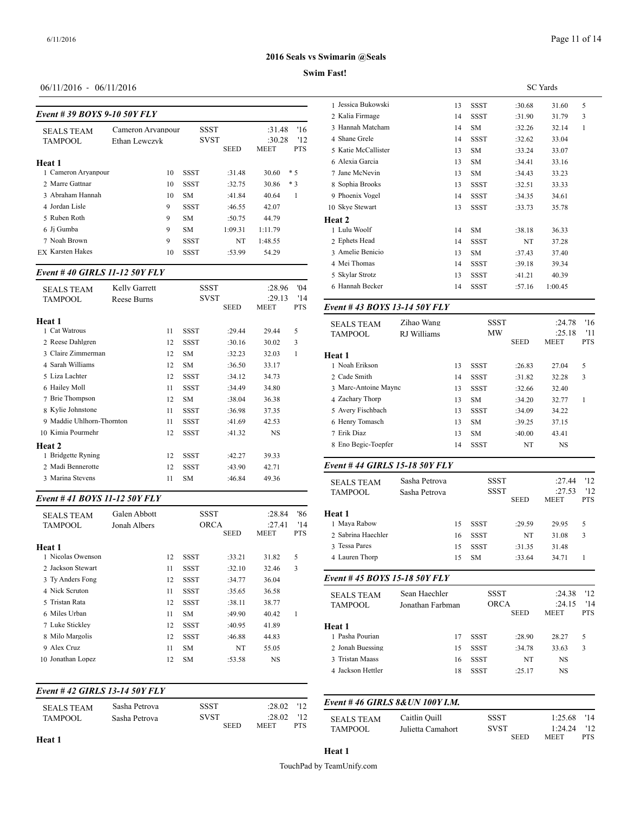# **Swim Fast!**

# 06/11/2016 - 06/11/2016

| Event #39 BOYS 9-10 50Y FLY |  |
|-----------------------------|--|
|-----------------------------|--|

|                         |                   |             |             |             |            | 2 Nana гиппаge     |
|-------------------------|-------------------|-------------|-------------|-------------|------------|--------------------|
| <b>SEALS TEAM</b>       | Cameron Arvanpour | <b>SSST</b> |             | :31.48      | '16        | 3 Hannah Matchar   |
| <b>TAMPOOL</b>          | Ethan Lewczyk     | <b>SVST</b> |             | :30.28      | 12         | 4 Shane Grele      |
|                         |                   |             | <b>SEED</b> | <b>MEET</b> | <b>PTS</b> | 5 Katie McCalliste |
| Heat 1                  |                   |             |             |             |            | 6 Alexia Garcia    |
| 1 Cameron Aryanpour     | 10                | <b>SSST</b> | :31.48      | 30.60       | $*5$       | 7 Jane McNevin     |
| 2 Marre Gattnar         | 10                | <b>SSST</b> | :32.75      | 30.86       | $*3$       | 8 Sophia Brooks    |
| 3 Abraham Hannah        | 10                | <b>SM</b>   | :41.84      | 40.64       |            | 9 Phoenix Vogel    |
| 4 Jordan Lisle          | 9                 | <b>SSST</b> | :46.55      | 42.07       |            | 10 Skye Stewart    |
| 5 Ruben Roth            | 9                 | <b>SM</b>   | :50.75      | 44.79       |            | Heat 2             |
| 6 Ji Gumba              | 9                 | <b>SM</b>   | 1:09.31     | 1:11.79     |            | 1 Lulu Woolf       |
| 7 Noah Brown            | 9                 | <b>SSST</b> | NT          | 1:48.55     |            | 2 Ephets Head      |
| <b>EX Karsten Hakes</b> | 10                | <b>SSST</b> | :53.99      | 54.29       |            | 3 Amelie Benicio   |
|                         |                   |             |             |             |            |                    |

# *Event # 40 GIRLS 11-12 50Y FLY*

| <b>SEALS TEAM</b>         | Kelly Garrett |    | SSST        |             | :28.96    | 04'        | 6 Hannah Becker   |
|---------------------------|---------------|----|-------------|-------------|-----------|------------|-------------------|
| <b>TAMPOOL</b>            | Reese Burns   |    | <b>SVST</b> |             | :29.13    | '14        |                   |
|                           |               |    |             | <b>SEED</b> | MEET      | <b>PTS</b> | Event #43 BOY     |
| Heat 1                    |               |    |             |             |           |            | <b>SEALS TEAM</b> |
| 1 Cat Watrous             |               | 11 | <b>SSST</b> | :29.44      | 29.44     | 5          | <b>TAMPOOL</b>    |
| 2 Reese Dahlgren          |               | 12 | SSST        | :30.16      | 30.02     | 3          |                   |
| 3 Claire Zimmerman        |               | 12 | <b>SM</b>   | :32.23      | 32.03     | 1          | <b>Heat 1</b>     |
| 4 Sarah Williams          |               | 12 | <b>SM</b>   | :36.50      | 33.17     |            | 1 Noah Erikson    |
| 5 Liza Lachter            |               | 12 | <b>SSST</b> | :34.12      | 34.73     |            | 2 Cade Smith      |
| 6 Hailey Moll             |               | 11 | <b>SSST</b> | :34.49      | 34.80     |            | 3 Marc-Antoine M  |
| 7 Brie Thompson           |               | 12 | <b>SM</b>   | :38.04      | 36.38     |            | 4 Zachary Thorp   |
| 8 Kylie Johnstone         |               | 11 | <b>SSST</b> | :36.98      | 37.35     |            | 5 Avery Fischbach |
| 9 Maddie Uhlhorn-Thornton |               | 11 | <b>SSST</b> | :41.69      | 42.53     |            | 6 Henry Tomasch   |
| 10 Kimia Pourmehr         |               | 12 | <b>SSST</b> | :41.32      | <b>NS</b> |            | 7 Erik Diaz       |
| Heat 2                    |               |    |             |             |           |            | 8 Eno Begic-Toep  |
| 1 Bridgette Ryning        |               | 12 | <b>SSST</b> | :42.27      | 39.33     |            |                   |
| 2 Madi Bennerotte         |               | 12 | <b>SSST</b> | :43.90      | 42.71     |            | Event #44 GIRI    |
| 3 Marina Stevens          |               | 11 | <b>SM</b>   | :46.84      | 49.36     |            | <b>SEALS TEAM</b> |
|                           |               |    |             |             |           |            |                   |

#### *Event # 41 BOYS 11-12 50Y FLY*

| <b>SEALS TEAM</b><br><b>TAMPOOL</b> | Galen Abbott<br>Jonah Albers |    | <b>SSST</b><br><b>ORCA</b> | <b>SEED</b> | :28.84<br>:27.41<br>MEET | '86<br>'14<br><b>PTS</b> | Heat 1<br>1 Mava Rabow<br>2 Sabrina Haechle |
|-------------------------------------|------------------------------|----|----------------------------|-------------|--------------------------|--------------------------|---------------------------------------------|
| Heat 1                              |                              |    |                            |             |                          |                          | 3 Tessa Pares                               |
| 1 Nicolas Owenson                   |                              | 12 | <b>SSST</b>                | :33.21      | 31.82                    | 5                        | 4 Lauren Thorp                              |
| 2 Jackson Stewart                   |                              | 11 | <b>SSST</b>                | :32.10      | 32.46                    | 3                        |                                             |
| 3 Tv Anders Fong                    |                              | 12 | <b>SSST</b>                | :34.77      | 36.04                    |                          | Event #45 BOY                               |
| 4 Nick Scruton                      |                              | 11 | <b>SSST</b>                | :35.65      | 36.58                    |                          | <b>SEALS TEAM</b>                           |
| 5 Tristan Rata                      |                              | 12 | <b>SSST</b>                | :38.11      | 38.77                    |                          | <b>TAMPOOL</b>                              |
| 6 Miles Urban                       |                              | 11 | SM.                        | :49.90      | 40.42                    | 1                        |                                             |
| 7 Luke Stickley                     |                              | 12 | <b>SSST</b>                | :40.95      | 41.89                    |                          | Heat 1                                      |
| 8 Milo Margolis                     |                              | 12 | <b>SSST</b>                | :46.88      | 44.83                    |                          | 1 Pasha Pourian                             |
| 9 Alex Cruz                         |                              | 11 | <b>SM</b>                  | NT          | 55.05                    |                          | 2 Jonah Buessing                            |
| 10 Jonathan Lopez                   |                              | 12 | <b>SM</b>                  | :53.58      | <b>NS</b>                |                          | 3 Tristan Maass                             |

# *Event # 42 GIRLS 13-14 50Y FLY*

| <b>SEALS TEAM</b> | Sasha Petrova | SSST        | :28.02<br>112 | Event #46 GIRI    |
|-------------------|---------------|-------------|---------------|-------------------|
| TAMPOOL           | Sasha Petrova | SVST        | 12<br>:28.02  | <b>SEALS TEAM</b> |
|                   |               | <b>SEED</b> | PTS.<br>MEET  | <b>TAMBOOL</b>    |

| I I аэl.            |                 |             |        |         |              |  |  |  |
|---------------------|-----------------|-------------|--------|---------|--------------|--|--|--|
|                     | <b>SC</b> Yards |             |        |         |              |  |  |  |
| 1 Jessica Bukowski  | 13              | <b>SSST</b> | :30.68 | 31.60   | 5            |  |  |  |
| 2 Kalia Firmage     | 14              | <b>SSST</b> | :31.90 | 31.79   | 3            |  |  |  |
| 3 Hannah Matcham    | 14              | <b>SM</b>   | :32.26 | 32.14   | $\mathbf{1}$ |  |  |  |
| 4 Shane Grele       | 14              | <b>SSST</b> | :32.62 | 33.04   |              |  |  |  |
| 5 Katie McCallister | 13              | <b>SM</b>   | :33.24 | 33.07   |              |  |  |  |
| 6 Alexia Garcia     | 13              | <b>SM</b>   | :34.41 | 33.16   |              |  |  |  |
| 7 Jane McNevin      | 13              | <b>SM</b>   | :34.43 | 33.23   |              |  |  |  |
| 8 Sophia Brooks     | 13              | <b>SSST</b> | :32.51 | 33.33   |              |  |  |  |
| 9 Phoenix Vogel     | 14              | <b>SSST</b> | :34.35 | 34.61   |              |  |  |  |
| 10 Skye Stewart     | 13              | <b>SSST</b> | :33.73 | 35.78   |              |  |  |  |
| <b>Heat 2</b>       |                 |             |        |         |              |  |  |  |
| 1 Lulu Woolf        | 14              | <b>SM</b>   | :38.18 | 36.33   |              |  |  |  |
| 2 Ephets Head       | 14              | <b>SSST</b> | NT     | 37.28   |              |  |  |  |
| 3 Amelie Benicio    | 13              | <b>SM</b>   | :37.43 | 37.40   |              |  |  |  |
| 4 Mei Thomas        | 14              | SSST        | :39.18 | 39.34   |              |  |  |  |
| 5 Skylar Strotz     | 13              | <b>SSST</b> | :41.21 | 40.39   |              |  |  |  |
| 6 Hannah Becker     | 14              | <b>SSST</b> | :57.16 | 1:00.45 |              |  |  |  |
|                     |                 |             |        |         |              |  |  |  |

#### SEED MEET PTS *Event # 43 BOYS 13-14 50Y FLY*

| Zihao Wang<br><b>SEALS TEAM</b><br><b>TAMPOOL</b><br>RJ Williams |  |    | <b>SSST</b><br>MW<br><b>SEED</b> |        | :24.78<br>:25.18<br><b>MEET</b> | '16<br>'11<br><b>PTS</b> |
|------------------------------------------------------------------|--|----|----------------------------------|--------|---------------------------------|--------------------------|
|                                                                  |  |    |                                  |        |                                 |                          |
| Heat 1                                                           |  |    |                                  |        |                                 |                          |
| 1 Noah Erikson                                                   |  | 13 | <b>SSST</b>                      | :26.83 | 27.04                           | 5                        |
| 2 Cade Smith                                                     |  | 14 | <b>SSST</b>                      | :31.82 | 32.28                           | 3                        |
| 3 Marc-Antoine Mayne                                             |  | 13 | <b>SSST</b>                      | :32.66 | 32.40                           |                          |
| 4 Zachary Thorp                                                  |  | 13 | <b>SM</b>                        | :34.20 | 32.77                           | 1                        |
| 5 Avery Fischbach                                                |  | 13 | <b>SSST</b>                      | :34.09 | 34.22                           |                          |
| 6 Henry Tomasch                                                  |  | 13 | <b>SM</b>                        | :39.25 | 37.15                           |                          |
| 7 Erik Diaz                                                      |  | 13 | <b>SM</b>                        | :40.00 | 43.41                           |                          |
| 8 Eno Begic-Toepfer                                              |  | 14 | SSST                             | NT     | <b>NS</b>                       |                          |
|                                                                  |  |    |                                  |        |                                 |                          |

# *Event # 44 GIRLS 15-18 50Y FLY*

| <b>SEALS TEAM</b>               | Sasha Petrova    |    | <b>SSST</b> |             | :27.44                | '12               |
|---------------------------------|------------------|----|-------------|-------------|-----------------------|-------------------|
| <b>TAMPOOL</b>                  | Sasha Petrova    |    | <b>SSST</b> |             | :27.53                | 12                |
|                                 |                  |    |             | <b>SEED</b> | <b>MEET</b>           | <b>PTS</b>        |
| Heat 1                          |                  |    |             |             |                       |                   |
| 1 Maya Rabow                    |                  | 15 | <b>SSST</b> | :29.59      | 29.95                 | 5                 |
| 2 Sabrina Haechler              |                  | 16 | <b>SSST</b> | NT          | 31.08                 | 3                 |
| 3 Tessa Pares                   |                  | 15 | <b>SSST</b> | :31.35      | 31.48                 |                   |
| 4 Lauren Thorp                  |                  | 15 | <b>SM</b>   | :33.64      | 34.71                 | 1                 |
| Event # 45 BOYS 15-18 50Y FLY   |                  |    |             |             |                       |                   |
| <b>SEALS TEAM</b>               | Sean Haechler    |    | <b>SSST</b> |             | :24.38                | '12               |
| <b>TAMPOOL</b>                  | Jonathan Farbman |    | <b>ORCA</b> | <b>SEED</b> | :24.15<br><b>MEET</b> | '14<br><b>PTS</b> |
| Heat 1                          |                  |    |             |             |                       |                   |
| 1 Pasha Pourian                 |                  | 17 | <b>SSST</b> | :28.90      | 28.27                 | 5                 |
| 2 Jonah Buessing                |                  | 15 | <b>SSST</b> | :34.78      | 33.63                 | 3                 |
| 3 Tristan Maass                 |                  | 16 | <b>SSST</b> | NT          | <b>NS</b>             |                   |
| 4 Jackson Hettler               |                  | 18 | <b>SSST</b> | :25.17      | <b>NS</b>             |                   |
|                                 |                  |    |             |             |                       |                   |
|                                 |                  |    |             |             |                       |                   |
| Event #46 GIRLS 8& UN 100Y I.M. |                  |    |             |             |                       |                   |

| <b>SEALS TEAM</b> | Caitlin Ouill     | <b>SSST</b> | 1:25.68     | '14        |
|-------------------|-------------------|-------------|-------------|------------|
| <b>TAMPOOL</b>    | Julietta Camahort | <b>SVST</b> | 1:24.24 '12 |            |
|                   |                   | SEED        | <b>MEET</b> | <b>PTS</b> |

# **Heat 1**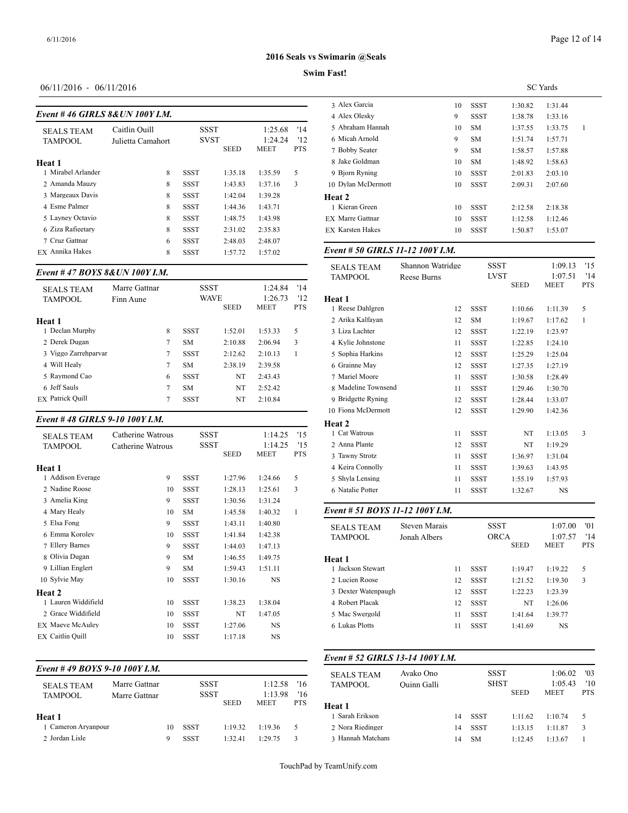# Page 12 of 14

#### **2016 Seals vs Swimarin @Seals**

### **Swim Fast!**

# 06/11/2016 - 06/11/2016

| Event #46 GIRLS 8& UN 100Y I.M. |  |
|---------------------------------|--|
|                                 |  |

|                    |                   |             |             |             |            | $4$ ARA VICSNY          |
|--------------------|-------------------|-------------|-------------|-------------|------------|-------------------------|
| <b>SEALS TEAM</b>  | Caitlin Ouill     | <b>SSST</b> |             | 1:25.68     | '14        | 5 Abraham Hanna         |
| <b>TAMPOOL</b>     | Julietta Camahort | <b>SVST</b> |             | 1:24.24     | 12         | 6 Micah Arnold          |
|                    |                   |             | <b>SEED</b> | <b>MEET</b> | <b>PTS</b> | 7 Bobby Seater          |
| Heat 1             |                   |             |             |             |            | 8 Jake Goldman          |
| 1 Mirabel Arlander | 8                 | <b>SSST</b> | 1:35.18     | 1:35.59     | 5          | 9 Bjorn Ryning          |
| 2 Amanda Mauzy     | 8                 | <b>SSST</b> | 1:43.83     | 1:37.16     | 3          | 10 Dylan McDermo        |
| 3 Margeaux Davis   | 8                 | <b>SSST</b> | 1:42.04     | 1:39.28     |            | Heat 2                  |
| 4 Esme Palmer      | 8                 | <b>SSST</b> | 1:44.36     | 1:43.71     |            | 1 Kieran Green          |
| 5 Layney Octavio   | 8                 | <b>SSST</b> | 1:48.75     | 1:43.98     |            | <b>EX</b> Marre Gattnar |
| 6 Ziza Rafieetary  | 8                 | <b>SSST</b> | 2:31.02     | 2:35.83     |            | <b>EX Karsten Hakes</b> |
| 7 Cruz Gattnar     | 6                 | <b>SSST</b> | 2:48.03     | 2:48.07     |            |                         |
| EX Annika Hakes    | 8                 | <b>SSST</b> | 1:57.72     | 1:57.02     |            | Event # 50 GIRI         |
|                    |                   |             |             |             |            |                         |

#### *Event # 47 BOYS 8&UN 100Y I.M.*

| <b>SEALS TEAM</b><br><b>TAMPOOL</b> | Marre Gattnar<br>Finn Aune |   | <b>SSST</b><br><b>WAVE</b> |             | 1:24.84<br>1:26.73 | '14<br>12  | <b>Heat 1</b>      |
|-------------------------------------|----------------------------|---|----------------------------|-------------|--------------------|------------|--------------------|
|                                     |                            |   |                            | <b>SEED</b> | <b>MEET</b>        | <b>PTS</b> | 1 Reese Dahlgren   |
| Heat 1                              |                            |   |                            |             |                    |            | 2 Arika Kalfavan   |
| 1 Declan Murphy                     |                            | 8 | <b>SSST</b>                | 1:52.01     | 1:53.33            | 5          | 3 Liza Lachter     |
| 2 Derek Dugan                       |                            | 7 | <b>SM</b>                  | 2:10.88     | 2:06.94            | 3          | 4 Kylie Johnstone  |
| 3 Viggo Zarrehparvar                |                            | 7 | <b>SSST</b>                | 2:12.62     | 2:10.13            |            | 5 Sophia Harkins   |
| 4 Will Healy                        |                            | 7 | <b>SM</b>                  | 2:38.19     | 2:39.58            |            | 6 Grainne May      |
| 5 Raymond Cao                       |                            | 6 | <b>SSST</b>                | NT          | 2:43.43            |            | 7 Mariel Moore     |
| 6 Jeff Sauls                        |                            | 7 | <b>SM</b>                  | NT          | 2:52.42            |            | 8 Madeline Towns   |
| <b>EX</b> Patrick Ouill             |                            | 7 | <b>SSST</b>                | NT          | 2:10.84            |            | 9 Bridgette Ryning |

#### *Event # 48 GIRLS 9-10 100Y I.M.*

| <b>SEALS TEAM</b>       | Catherine Watrous | SSST        |             | 1:14.25   | '15        | 1 Cat Watrous     |
|-------------------------|-------------------|-------------|-------------|-----------|------------|-------------------|
| <b>TAMPOOL</b>          | Catherine Watrous | SSST        |             | 1:14.25   | '15        | 2 Anna Plante     |
|                         |                   |             | <b>SEED</b> | MEET      | <b>PTS</b> | 3 Tawny Strotz    |
| <b>Heat 1</b>           |                   |             |             |           |            | 4 Keira Connolly  |
| 1 Addison Everage       | 9                 | <b>SSST</b> | 1:27.96     | 1:24.66   | 5          | 5 Shyla Lensing   |
| 2 Nadine Roose          | 10                | <b>SSST</b> | 1:28.13     | 1:25.61   | 3          | 6 Natalie Potter  |
| 3 Amelia King           | 9                 | <b>SSST</b> | 1:30.56     | 1:31.24   |            |                   |
| 4 Mary Healy            | 10                | <b>SM</b>   | 1:45.58     | 1:40.32   | 1          | Event # 51 $BOY$  |
| 5 Elsa Fong             | 9                 | <b>SSST</b> | 1:43.11     | 1:40.80   |            | <b>SEALS TEAM</b> |
| 6 Emma Korolev          | 10                | <b>SSST</b> | 1:41.84     | 1:42.38   |            | <b>TAMPOOL</b>    |
| 7 Ellery Barnes         | 9                 | <b>SSST</b> | 1:44.03     | 1:47.13   |            |                   |
| 8 Olivia Dugan          | 9                 | <b>SM</b>   | 1:46.55     | 1:49.75   |            | Heat 1            |
| 9 Lillian Englert       | 9                 | <b>SM</b>   | 1:59.43     | 1:51.11   |            | 1 Jackson Stewart |
| 10 Sylvie May           | 10                | <b>SSST</b> | 1:30.16     | <b>NS</b> |            | 2 Lucien Roose    |
| Heat 2                  |                   |             |             |           |            | 3 Dexter Watenpa  |
| 1 Lauren Widdifield     | 10                | <b>SSST</b> | 1:38.23     | 1:38.04   |            | 4 Robert Placak   |
| 2 Grace Widdifield      | 10                | <b>SSST</b> | NT          | 1:47.05   |            | 5 Mac Swergold    |
| <b>EX Maeve McAuley</b> | 10                | <b>SSST</b> | 1:27.06     | NS        |            | 6 Lukas Plotts    |
| <b>EX</b> Caitlin Quill | 10                | <b>SSST</b> | 1:17.18     | NS        |            |                   |
|                         |                   |             |             |           |            |                   |

# *Event # 49 BOYS 9-10 100Y I.M.*

| <b>SEALS TEAM</b><br><b>TAMPOOL</b> | Marre Gattnar<br>Marre Gattnar |    | <b>SSST</b><br>SSST |             | 1:12.58<br>1:13.98 | 16<br>'16  | $\mathcal{L}$<br><b>TAMPOOL</b> |
|-------------------------------------|--------------------------------|----|---------------------|-------------|--------------------|------------|---------------------------------|
|                                     |                                |    |                     | <b>SEED</b> | <b>MEET</b>        | <b>PTS</b> | Heat 1                          |
| Heat 1                              |                                |    |                     |             |                    |            | 1 Sarah Erikson                 |
| 1 Cameron Arvanpour                 |                                | 10 | <b>SSST</b>         | 1:19.32     | 1:19.36            |            | 2 Nora Riedinger                |
| 2 Jordan Lisle                      |                                | 9  | <b>SSST</b>         | 1:32.41     | 1.2975             |            | 3 Hannah Matchar                |

|                         | <b>SC</b> Yards |             |         |         |   |  |  |  |
|-------------------------|-----------------|-------------|---------|---------|---|--|--|--|
| 3 Alex Garcia           | 10              | SSST        | 1:30.82 | 1:31.44 |   |  |  |  |
| 4 Alex Olesky           | 9               | SSST        | 1:38.78 | 1:33.16 |   |  |  |  |
| 5 Abraham Hannah        | 10              | SM          | 1:37.55 | 1:33.75 | 1 |  |  |  |
| 6 Micah Arnold          | 9               | <b>SM</b>   | 1:51.74 | 1:57.71 |   |  |  |  |
| 7 Bobby Seater          | 9               | <b>SM</b>   | 1:58.57 | 1:57.88 |   |  |  |  |
| 8 Jake Goldman          | 10              | <b>SM</b>   | 1:48.92 | 1:58.63 |   |  |  |  |
| 9 Bjorn Ryning          | 10              | SSST        | 2:01.83 | 2:03.10 |   |  |  |  |
| 10 Dylan McDermott      | 10              | <b>SSST</b> | 2:09.31 | 2:07.60 |   |  |  |  |
| Heat 2                  |                 |             |         |         |   |  |  |  |
| 1 Kieran Green          | 10              | SSST        | 2:12.58 | 2:18.38 |   |  |  |  |
| EX Marre Gattnar        | 10              | <b>SSST</b> | 1:12.58 | 1:12.46 |   |  |  |  |
| <b>EX Karsten Hakes</b> | 10              | <b>SSST</b> | 1:50.87 | 1:53.07 |   |  |  |  |
|                         |                 |             |         |         |   |  |  |  |

## *Event # 50 GIRLS 11-12 100Y I.M.*

| <b>SEALS TEAM</b>               | Shannon Watridge     |    | <b>SSST</b> |             | 1:09.13                | '15               |
|---------------------------------|----------------------|----|-------------|-------------|------------------------|-------------------|
| <b>TAMPOOL</b>                  | <b>Reese Burns</b>   |    | <b>LVST</b> | <b>SEED</b> | 1:07.51<br><b>MEET</b> | '14<br><b>PTS</b> |
| Heat 1                          |                      |    |             |             |                        |                   |
| 1 Reese Dahlgren                |                      | 12 | <b>SSST</b> | 1:10.66     | 1:11.39                | 5                 |
| 2 Arika Kalfayan                |                      | 12 | <b>SM</b>   | 1:19.67     | 1:17.62                | 1                 |
| 3 Liza Lachter                  |                      | 12 | <b>SSST</b> | 1:22.19     | 1:23.97                |                   |
| 4 Kylie Johnstone               |                      | 11 | <b>SSST</b> | 1:22.85     | 1:24.10                |                   |
| 5 Sophia Harkins                |                      | 12 | <b>SSST</b> | 1:25.29     | 1:25.04                |                   |
| 6 Grainne May                   |                      | 12 | <b>SSST</b> | 1:27.35     | 1:27.19                |                   |
| 7 Mariel Moore                  |                      | 11 | <b>SSST</b> | 1:30.58     | 1:28.49                |                   |
| 8 Madeline Townsend             |                      | 11 | <b>SSST</b> | 1:29.46     | 1:30.70                |                   |
| 9 Bridgette Ryning              |                      | 12 | <b>SSST</b> | 1:28.44     | 1:33.07                |                   |
| 10 Fiona McDermott              |                      | 12 | <b>SSST</b> | 1:29.90     | 1:42.36                |                   |
| Heat 2                          |                      |    |             |             |                        |                   |
| 1 Cat Watrous                   |                      | 11 | <b>SSST</b> | NT          | 1:13.05                | 3                 |
| 2 Anna Plante                   |                      | 12 | <b>SSST</b> | NT          | 1:19.29                |                   |
| 3 Tawny Strotz                  |                      | 11 | <b>SSST</b> | 1:36.97     | 1:31.04                |                   |
| 4 Keira Connolly                |                      | 11 | <b>SSST</b> | 1:39.63     | 1:43.95                |                   |
| 5 Shyla Lensing                 |                      | 11 | <b>SSST</b> | 1:55.19     | 1:57.93                |                   |
| 6 Natalie Potter                |                      | 11 | <b>SSST</b> | 1:32.67     | <b>NS</b>              |                   |
| Event # 51 BOYS 11-12 100Y I.M. |                      |    |             |             |                        |                   |
| <b>SEALS TEAM</b>               | <b>Steven Marais</b> |    | <b>SSST</b> |             | 1:07.00                | '01               |
| <b>TAMPOOL</b>                  | Jonah Albers         |    | <b>ORCA</b> | <b>SEED</b> | 1:07.57<br><b>MEET</b> | '14<br><b>PTS</b> |
| Heat 1                          |                      |    |             |             |                        |                   |
| 1 Jackson Stewart               |                      | 11 | <b>SSST</b> | 1:19.47     | 1:19.22                | 5                 |
| 2 Lucien Roose                  |                      | 12 | <b>SSST</b> | 1:21.52     | 1:19.30                | 3                 |
| 3 Dexter Watenpaugh             |                      | 12 | <b>SSST</b> | 1:22.23     | 1:23.39                |                   |

# *Event # 52 GIRLS 13-14 100Y I.M.*

| <b>SEALS TEAM</b><br><b>TAMPOOL</b> | Avako Ono<br>Ouinn Galli |    | SSST<br><b>SHST</b> | <b>SEED</b> | 1:06.02<br>1:05.43<br><b>MEET</b> | '03<br>'10<br><b>PTS</b> |
|-------------------------------------|--------------------------|----|---------------------|-------------|-----------------------------------|--------------------------|
| Heat 1                              |                          |    |                     |             |                                   |                          |
| 1 Sarah Erikson                     |                          | 14 | <b>SSST</b>         | 1:11.62     | 1:10.74                           | 5.                       |
| 2 Nora Riedinger                    |                          | 14 | <b>SSST</b>         | 1:13.15     | 1:11.87                           | 3                        |
| 3 Hannah Matcham                    |                          | 14 | <b>SM</b>           | 1:12.45     | 1:13.67                           |                          |

4 Robert Placak 12 SSST NT 1:26.06 5 Mac Swergold 11 SSST 1:41.64 1:39.77 6 Lukas Plotts 11 SSST 1:41.69 NS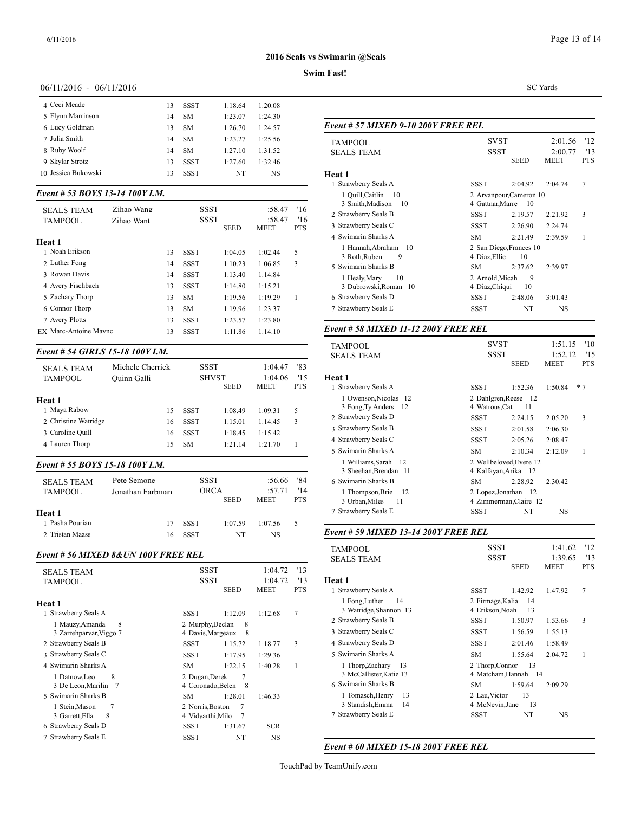### **Swim Fast!**

#### 06/11/2016 - 06/11/2016

| 4 Ceci Meade        | 13 | <b>SSST</b> | 1:18.64 | 1:20.08 |              |
|---------------------|----|-------------|---------|---------|--------------|
| 5 Flynn Marrinson   | 14 | SM          | 1:23.07 | 1:24.30 |              |
| 6 Lucy Goldman      | 13 | <b>SM</b>   | 1:26.70 | 1:24.57 | Event #.     |
| 7 Julia Smith       | 14 | <b>SM</b>   | 1:23.27 | 1:25.56 | <b>TAMPC</b> |
| 8 Ruby Woolf        | 14 | <b>SM</b>   | 1:27.10 | 1:31.52 | <b>SEALS</b> |
| 9 Skylar Strotz     | 13 | <b>SSST</b> | 1:27.60 | 1:32.46 |              |
| 10 Jessica Bukowski | 13 | <b>SSST</b> | NT      | NS      | Heat 1       |
|                     |    |             |         |         |              |

#### *Event # 53 BOYS 13-14 100Y I.M.*

| <b>SEALS TEAM</b><br><b>TAMPOOL</b> | Zihao Wang<br>Zihao Want |    | <b>SSST</b><br>SSST | <b>SEED</b> | :58.47<br>:58.47<br><b>MEET</b> | '16<br>16<br><b>PTS</b> | 3 Smith, Madis<br>2 Strawberry Seal:<br>3 Strawberry Seal<br>4 Swimarin Shark |
|-------------------------------------|--------------------------|----|---------------------|-------------|---------------------------------|-------------------------|-------------------------------------------------------------------------------|
| Heat 1                              |                          |    |                     |             |                                 |                         | 1 Hannah.Abra                                                                 |
| 1 Noah Erikson                      |                          | 13 | <b>SSST</b>         | 1:04.05     | 1:02.44                         | 5                       | 3 Roth, Ruben                                                                 |
| 2 Luther Fong                       |                          | 14 | <b>SSST</b>         | 1:10.23     | 1:06.85                         | 3                       | 5 Swimarin Shark                                                              |
| 3 Rowan Davis                       |                          | 14 | <b>SSST</b>         | 1:13.40     | 1:14.84                         |                         | 1 Healy, Mary                                                                 |
| 4 Avery Fischbach                   |                          | 13 | <b>SSST</b>         | 1:14.80     | 1:15.21                         |                         | 3 Dubrowski, R                                                                |
| 5 Zachary Thorp                     |                          | 13 | <b>SM</b>           | 1:19.56     | 1:19.29                         |                         | 6 Strawberry Seal                                                             |
| 6 Connor Thorp                      |                          | 13 | <b>SM</b>           | 1:19.96     | 1:23.37                         |                         | 7 Strawberry Seal                                                             |
| 7 Avery Plotts                      |                          | 13 | <b>SSST</b>         | 1:23.57     | 1:23.80                         |                         |                                                                               |
| EX Marc-Antoine Maync               |                          | 13 | <b>SSST</b>         | 1:11.86     | 1:14.10                         |                         | Event # 58 MIX                                                                |

#### *Event # 54 GIRLS 15-18 100Y I.M.*

| <b>SEALS TEAM</b><br><b>TAMPOOL</b> | Michele Cherrick<br>Ouinn Galli | SSST        | <b>SHVST</b><br><b>SEED</b> | 1:04.47<br>1:04.06<br><b>MEET</b> | '83<br>'15<br><b>PTS</b> | <b>Heat 1</b><br>1 Strawberry Seal |
|-------------------------------------|---------------------------------|-------------|-----------------------------|-----------------------------------|--------------------------|------------------------------------|
| Heat 1                              |                                 |             |                             |                                   |                          | 1 Owenson, Nio                     |
| 1 Maya Rabow                        | 15                              | <b>SSST</b> | 1:08.49                     | 1:09.31                           | 5                        | 3 Fong, Ty And                     |
| 2 Christine Watridge                | 16                              | SSST        | 1:15.01                     | 1:14.45                           | 3                        | 2 Strawberry Seal                  |
| 3 Caroline Quill                    | 16                              | <b>SSST</b> | 1:18.45                     | 1:15.42                           |                          | 3 Strawberry Seal:                 |
|                                     |                                 |             |                             |                                   |                          | 4 Strawberry Seal:                 |
| 4 Lauren Thorp                      | 15                              | <b>SM</b>   | 1:21.14                     | 1:21.70                           |                          | 5 Swimarin Shark                   |

# *Event # 55 BOYS 15-18 100Y I.M.*

| 7 Strawberry Seal                                                                                                                       | 3 Sheehan Brei<br>6 Swimarin Shark<br>1 Thompson, B<br>3 Urban, Miles |
|-----------------------------------------------------------------------------------------------------------------------------------------|-----------------------------------------------------------------------|
| Heat 1                                                                                                                                  |                                                                       |
| 1 Pasha Pourian<br><b>SSST</b><br>1:07.59<br>1:07.56<br>17<br>5<br>Event # 59 MIX.<br>2 Tristan Maass<br><b>SSST</b><br>NS.<br>NT<br>16 |                                                                       |

#### *Event # 56 MIXED 8&UN 100Y FREE REL*

| <b>SEALS TEAM</b><br><b>TAMPOOL</b>             | SSST<br><b>SSST</b>                   |             | 1:04.72<br>1:04.72 | '13<br>13  | <b>Heat 1</b>                                          |
|-------------------------------------------------|---------------------------------------|-------------|--------------------|------------|--------------------------------------------------------|
|                                                 |                                       | <b>SEED</b> | <b>MEET</b>        | <b>PTS</b> | 1 Strawberry Seal:                                     |
| Heat 1<br>1 Strawberry Seals A                  | SSST                                  | 1:12.09     | 1:12.68            | 7          | 1 Fong, Luther<br>3 Watridge, Sha<br>2 Strawberry Seal |
| 8<br>1 Mauzy, Amanda<br>3 Zarrehparvar, Viggo 7 | 2 Murphy, Declan<br>4 Davis, Margeaux | 8<br>8      |                    |            | 3 Strawberry Seal:                                     |
| 2 Strawberry Seals B                            | SSST                                  | 1:15.72     | 1:18.77            | 3          | 4 Strawberry Seal:                                     |
| 3 Strawberry Seals C                            | <b>SSST</b>                           | 1:17.95     | 1:29.36            |            | 5 Swimarin Shark                                       |
| 4 Swimarin Sharks A                             | SM.                                   | 1:22.15     | 1:40.28            | 1          | 1 Thorp, Zacha                                         |
| 8<br>1 Datnow, Leo<br>3 De Leon, Marilin 7      | 2 Dugan, Derek<br>4 Coronado, Belen   | 7<br>- 8    |                    |            | 3 McCallister, I<br>6 Swimarin Shark                   |
| 5 Swimarin Sharks B                             | SM.                                   | 1:28.01     | 1:46.33            |            | 1 Tomasch.Her                                          |
| 7<br>1 Stein, Mason<br>8<br>3 Garrett, Ella     | 2 Norris, Boston<br>4 Vidyarthi, Milo | 7<br>7      |                    |            | 3 Standish, Emi<br>7 Strawberry Seal:                  |
| 6 Strawberry Seals D                            | SSST                                  | 1:31.67     | <b>SCR</b>         |            |                                                        |
| 7 Strawberry Seals E                            | <b>SSST</b>                           | NT          | <b>NS</b>          |            |                                                        |

SC Yards

# *Event # 57 MIXED 9-10 200Y FREE REL*

| <b>TAMPOOL</b>           | <b>SVST</b>     |                         | 2:01.56     | '12        |
|--------------------------|-----------------|-------------------------|-------------|------------|
| <b>SEALS TEAM</b>        |                 | <b>SSST</b>             |             |            |
|                          |                 | SEED                    | <b>MEET</b> | <b>PTS</b> |
| Heat 1                   |                 |                         |             |            |
| 1 Strawberry Seals A     | SSST            | 2:04.92                 | 2:04.74     | 7          |
| 1 Quill, Caitlin<br>- 10 |                 | 2 Aryanpour, Cameron 10 |             |            |
| 3 Smith, Madison<br>10   |                 | 4 Gattnar, Marre 10     |             |            |
| 2 Strawberry Seals B     | <b>SSST</b>     | 2:19.57                 | 2:21.92     | 3          |
| 3 Strawberry Seals C     | SSST            | 2:26.90                 | 2:24.74     |            |
| 4 Swimarin Sharks A      | SM.             | 2:21.49                 | 2:39.59     | 1          |
| 1 Hannah, Abraham 10     |                 | 2 San Diego, Frances 10 |             |            |
| 3 Roth, Ruben<br>9       | 4 Diaz, Ellie   | 10                      |             |            |
| 5 Swimarin Sharks B      | SM.             | 2:37.62                 | 2:39.97     |            |
| 1 Healy, Mary<br>10      | 2 Arnold, Micah | 9                       |             |            |
| 3 Dubrowski, Roman 10    | 4 Diaz, Chiqui  | 10                      |             |            |
| 6 Strawberry Seals D     | SSST            | 2:48.06                 | 3:01.43     |            |
| 7 Strawberry Seals E     | SSST            | NT                      | <b>NS</b>   |            |
|                          |                 |                         |             |            |

# *Event # 58 MIXED 11-12 200Y FREE REL*

| TAMPOOL                                          | SVST                                   |                         | 1:51.15<br>'10         |                   |  |
|--------------------------------------------------|----------------------------------------|-------------------------|------------------------|-------------------|--|
| <b>SEALS TEAM</b>                                | <b>SSST</b>                            | <b>SEED</b>             | 1:52.12<br><b>MEET</b> | 115<br><b>PTS</b> |  |
| Heat 1                                           |                                        |                         |                        |                   |  |
| 1 Strawberry Seals A                             | SSST                                   | 1:52.36                 | 1:50.84                | $*7$              |  |
| 1 Owenson, Nicolas 12<br>3 Fong, Ty Anders 12    | 2 Dahlgren, Reese 12<br>4 Watrous, Cat | 11                      |                        |                   |  |
| 2 Strawberry Seals D                             | <b>SSST</b>                            | 2:24.15                 | 2:05.20                | 3                 |  |
| 3 Strawberry Seals B                             | SSST                                   | 2:01.58                 | 2:06.30                |                   |  |
| 4 Strawberry Seals C                             | SSST                                   | 2:05.26                 | 2:08.47                |                   |  |
| 5 Swimarin Sharks A                              | SM.                                    | 2:10.34                 | 2:12.09                | 1                 |  |
| 1 Williams, Sarah 12<br>3 Sheehan, Brendan 11    | 4 Kalfayan, Arika 12                   | 2 Wellbeloved, Evere 12 |                        |                   |  |
| 6 Swimarin Sharks B                              | SM.                                    | 2:28.92                 | 2:30.42                |                   |  |
| 1 Thompson, Brie<br>-12<br>3 Urban, Miles<br>-11 | 2 Lopez, Jonathan 12                   | 4 Zimmerman, Claire 12  |                        |                   |  |
| 7 Strawberry Seals E                             | SSST                                   | NT                      | NS                     |                   |  |

#### *Event # 59 MIXED 13-14 200Y FREE REL*

| <b>TAMPOOL</b>                                   | <b>SSST</b><br>1:41.62                               | '12               |
|--------------------------------------------------|------------------------------------------------------|-------------------|
| <b>SEALS TEAM</b>                                | <b>SSST</b><br>1:39.65<br><b>MEET</b><br><b>SEED</b> | '13<br><b>PTS</b> |
| Heat 1                                           |                                                      |                   |
| 1 Strawberry Seals A                             | SSST<br>1:42.92<br>1:47.92                           | 7                 |
| 1 Fong, Luther<br>- 14<br>3 Watridge, Shannon 13 | 2 Firmage, Kalia<br>-14<br>4 Erikson, Noah<br>-13    |                   |
| 2 Strawberry Seals B                             | SSST<br>1:50.97<br>1:53.66                           | 3                 |
| 3 Strawberry Seals C                             | SSST<br>1:56.59<br>1:55.13                           |                   |
| 4 Strawberry Seals D                             | SSST<br>2:01.46<br>1:58.49                           |                   |
| 5 Swimarin Sharks A                              | 1:55.64<br>SM.<br>2:04.72                            | 1                 |
| 1 Thorp, Zachary 13<br>3 McCallister, Katie 13   | 2 Thorp, Connor<br>-13<br>4 Matcham, Hannah 14       |                   |
| 6 Swimarin Sharks B                              | SM<br>1:59.64<br>2:09.29                             |                   |
| 13<br>1 Tomasch, Henry<br>3 Standish, Emma<br>14 | 13<br>2 Lau, Victor<br>13<br>4 McNevin, Jane         |                   |
| 7 Strawberry Seals E                             | NT<br>SSST<br>NS                                     |                   |

# *Event # 60 MIXED 15-18 200Y FREE REL*